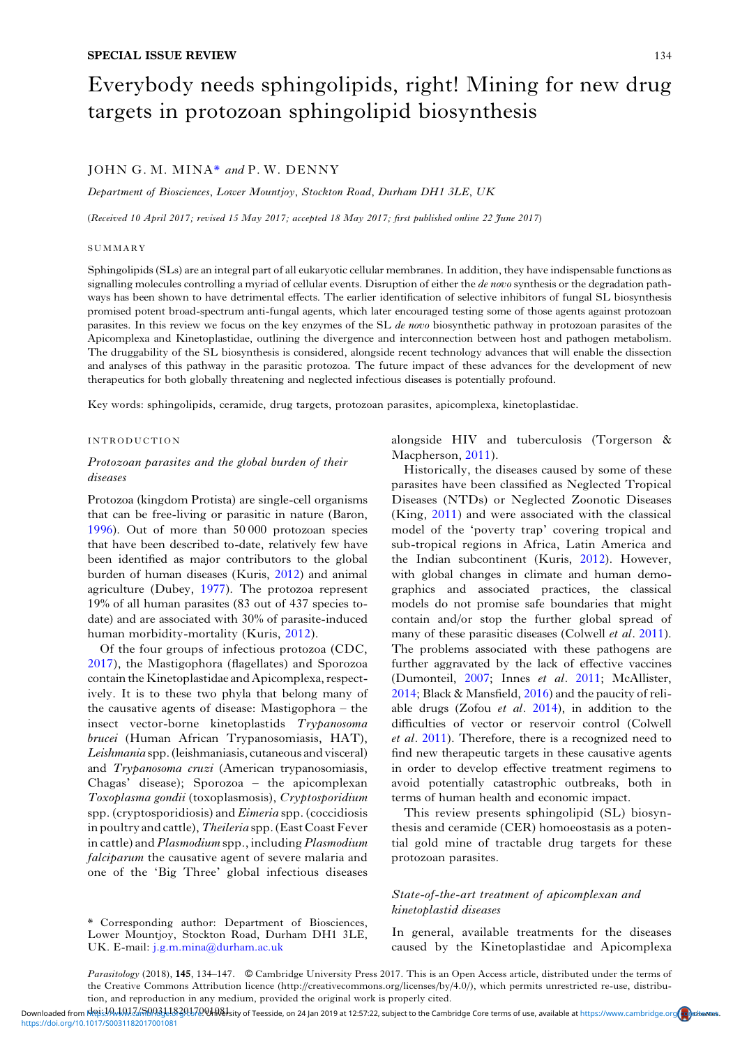# Everybody needs sphingolipids, right! Mining for new drug targets in protozoan sphingolipid biosynthesis

# JOHN G. M. MINA\* and P. W. DENNY

Department of Biosciences, Lower Mountjoy, Stockton Road, Durham DH1 3LE, UK

(Received 10 April 2017; revised 15 May 2017; accepted 18 May 2017; first published online 22 June 2017)

#### **SUMMARY**

Sphingolipids (SLs) are an integral part of all eukaryotic cellular membranes. In addition, they have indispensable functions as signalling molecules controlling a myriad of cellular events. Disruption of either the de novo synthesis or the degradation pathways has been shown to have detrimental effects. The earlier identification of selective inhibitors of fungal SL biosynthesis promised potent broad-spectrum anti-fungal agents, which later encouraged testing some of those agents against protozoan parasites. In this review we focus on the key enzymes of the SL de novo biosynthetic pathway in protozoan parasites of the Apicomplexa and Kinetoplastidae, outlining the divergence and interconnection between host and pathogen metabolism. The druggability of the SL biosynthesis is considered, alongside recent technology advances that will enable the dissection and analyses of this pathway in the parasitic protozoa. The future impact of these advances for the development of new therapeutics for both globally threatening and neglected infectious diseases is potentially profound.

Key words: sphingolipids, ceramide, drug targets, protozoan parasites, apicomplexa, kinetoplastidae.

## INTRODUCTION

# Protozoan parasites and the global burden of their diseases

Protozoa (kingdom Protista) are single-cell organisms that can be free-living or parasitic in nature (Baron, [1996\)](#page-9-0). Out of more than 50 000 protozoan species that have been described to-date, relatively few have been identified as major contributors to the global burden of human diseases (Kuris, [2012](#page-11-0)) and animal agriculture (Dubey, [1977](#page-10-0)). The protozoa represent 19% of all human parasites (83 out of 437 species todate) and are associated with 30% of parasite-induced human morbidity-mortality (Kuris, [2012](#page-11-0)).

Of the four groups of infectious protozoa (CDC, [2017](#page-9-0)), the Mastigophora (flagellates) and Sporozoa contain the Kinetoplastidae and Apicomplexa, respectively. It is to these two phyla that belong many of the causative agents of disease: Mastigophora – the insect vector-borne kinetoplastids Trypanosoma brucei (Human African Trypanosomiasis, HAT), Leishmania spp. (leishmaniasis, cutaneous and visceral) and Trypanosoma cruzi (American trypanosomiasis, Chagas' disease); Sporozoa – the apicomplexan Toxoplasma gondii (toxoplasmosis), Cryptosporidium spp. (cryptosporidiosis) and  $Eimeria$  spp. (coccidiosis in poultry and cattle), Theileria spp. (East Coast Fever in cattle) and Plasmodium spp., including Plasmodium falciparum the causative agent of severe malaria and one of the 'Big Three' global infectious diseases

alongside HIV and tuberculosis (Torgerson & Macpherson, [2011](#page-13-0)).

Historically, the diseases caused by some of these parasites have been classified as Neglected Tropical Diseases (NTDs) or Neglected Zoonotic Diseases (King, [2011](#page-11-0)) and were associated with the classical model of the 'poverty trap' covering tropical and sub-tropical regions in Africa, Latin America and the Indian subcontinent (Kuris, [2012\)](#page-11-0). However, with global changes in climate and human demographics and associated practices, the classical models do not promise safe boundaries that might contain and/or stop the further global spread of many of these parasitic diseases (Colwell *et al.* [2011](#page-10-0)). The problems associated with these pathogens are further aggravated by the lack of effective vaccines (Dumonteil, [2007;](#page-10-0) Innes et al. [2011](#page-11-0); McAllister, [2014](#page-11-0); Black & Mansfield, [2016\)](#page-9-0) and the paucity of reliable drugs (Zofou  $et$  al. [2014\)](#page-13-0), in addition to the difficulties of vector or reservoir control (Colwell et al. [2011\)](#page-10-0). Therefore, there is a recognized need to find new therapeutic targets in these causative agents in order to develop effective treatment regimens to avoid potentially catastrophic outbreaks, both in terms of human health and economic impact.

This review presents sphingolipid (SL) biosynthesis and ceramide (CER) homoeostasis as a potential gold mine of tractable drug targets for these protozoan parasites.

# State-of-the-art treatment of apicomplexan and kinetoplastid diseases

In general, available treatments for the diseases caused by the Kinetoplastidae and Apicomplexa

Downloaded from <u>Rois:JAMMZ/AMA31820L72</u>.VIR&Isity of Teesside, on 24 Jan 2019 at 12:57:22, subject to the Cambridge Core terms of use, available at [https://www.cambridge.org](https://www.cambridge.org/core/terms)<mark>/co</mark>reMats. <https://doi.org/10.1017/S0031182017001081>

<sup>\*</sup> Corresponding author: Department of Biosciences, Lower Mountjoy, Stockton Road, Durham DH1 3LE, UK. E-mail: [j.g.m.mina@durham.ac.uk](mailto:j.g.m.mina@durham.ac.uk)

Parasitology (2018), 145, 134–147. © Cambridge University Press 2017. This is an Open Access article, distributed under the terms of the Creative Commons Attribution licence (http://creativecommons.org/licenses/by/4.0/), which permits unrestricted re-use, distribution, and reproduction in any medium, provided the original work is properly cited.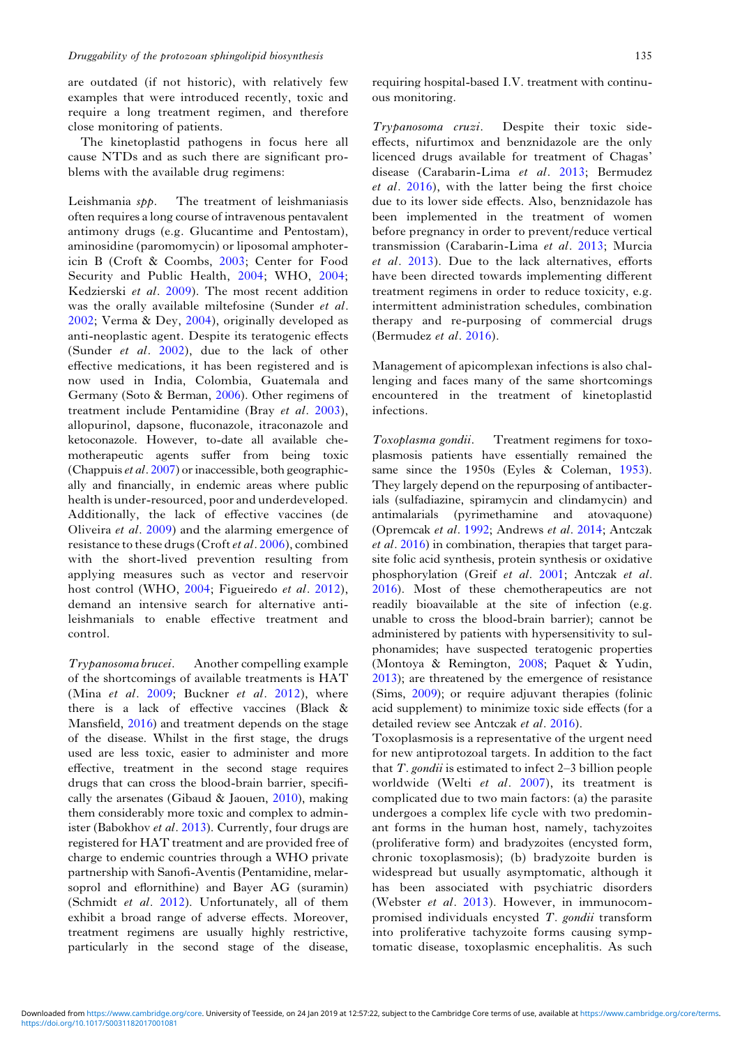are outdated (if not historic), with relatively few examples that were introduced recently, toxic and require a long treatment regimen, and therefore close monitoring of patients.

The kinetoplastid pathogens in focus here all cause NTDs and as such there are significant problems with the available drug regimens:

Leishmania spp. The treatment of leishmaniasis often requires a long course of intravenous pentavalent antimony drugs (e.g. Glucantime and Pentostam), aminosidine (paromomycin) or liposomal amphotericin B (Croft & Coombs, [2003](#page-10-0); Center for Food Security and Public Health, [2004](#page-9-0); WHO, [2004](#page-13-0); Kedzierski et al. [2009](#page-11-0)). The most recent addition was the orally available miltefosine (Sunder et al. [2002;](#page-13-0) Verma & Dey, [2004](#page-13-0)), originally developed as anti-neoplastic agent. Despite its teratogenic effects (Sunder et al. [2002\)](#page-13-0), due to the lack of other effective medications, it has been registered and is now used in India, Colombia, Guatemala and Germany (Soto & Berman, [2006\)](#page-12-0). Other regimens of treatment include Pentamidine (Bray et al. [2003\)](#page-9-0), allopurinol, dapsone, fluconazole, itraconazole and ketoconazole. However, to-date all available chemotherapeutic agents suffer from being toxic (Chappuis *et al.* [2007](#page-9-0)) or inaccessible, both geographically and financially, in endemic areas where public health is under-resourced, poor and underdeveloped. Additionally, the lack of effective vaccines (de Oliveira et al. [2009](#page-10-0)) and the alarming emergence of resistance to these drugs (Croft et al.  $2006$ ), combined with the short-lived prevention resulting from applying measures such as vector and reservoir host control (WHO, [2004](#page-13-0); Figueiredo et al. [2012](#page-10-0)), demand an intensive search for alternative antileishmanials to enable effective treatment and control.

Trypanosoma brucei. Another compelling example of the shortcomings of available treatments is HAT (Mina *et al.* [2009;](#page-11-0) Buckner *et al.* [2012\)](#page-9-0), where there is a lack of effective vaccines (Black & Mansfield, [2016\)](#page-9-0) and treatment depends on the stage of the disease. Whilst in the first stage, the drugs used are less toxic, easier to administer and more effective, treatment in the second stage requires drugs that can cross the blood-brain barrier, specifically the arsenates (Gibaud & Jaouen,  $2010$ ), making them considerably more toxic and complex to administer (Babokhov et al. [2013](#page-9-0)). Currently, four drugs are registered for HAT treatment and are provided free of charge to endemic countries through a WHO private partnership with Sanofi-Aventis (Pentamidine, melarsoprol and eflornithine) and Bayer AG (suramin) (Schmidt et al. [2012\)](#page-12-0). Unfortunately, all of them exhibit a broad range of adverse effects. Moreover, treatment regimens are usually highly restrictive, particularly in the second stage of the disease,

requiring hospital-based I.V. treatment with continuous monitoring.

Trypanosoma cruzi. Despite their toxic sideeffects, nifurtimox and benznidazole are the only licenced drugs available for treatment of Chagas' disease (Carabarin-Lima et al. [2013;](#page-9-0) Bermudez et al. [2016\)](#page-9-0), with the latter being the first choice due to its lower side effects. Also, benznidazole has been implemented in the treatment of women before pregnancy in order to prevent/reduce vertical transmission (Carabarin-Lima et al. [2013;](#page-9-0) Murcia et al. [2013](#page-11-0)). Due to the lack alternatives, efforts have been directed towards implementing different treatment regimens in order to reduce toxicity, e.g. intermittent administration schedules, combination therapy and re-purposing of commercial drugs (Bermudez et al. [2016](#page-9-0)).

Management of apicomplexan infections is also challenging and faces many of the same shortcomings encountered in the treatment of kinetoplastid infections.

Toxoplasma gondii. Treatment regimens for toxoplasmosis patients have essentially remained the same since the 1950s (Eyles & Coleman, [1953\)](#page-10-0). They largely depend on the repurposing of antibacterials (sulfadiazine, spiramycin and clindamycin) and antimalarials (pyrimethamine and atovaquone) (Opremcak et al. [1992;](#page-11-0) Andrews et al. [2014;](#page-9-0) Antczak et al. [2016](#page-9-0)) in combination, therapies that target parasite folic acid synthesis, protein synthesis or oxidative phosphorylation (Greif et al. [2001;](#page-10-0) Antczak et al. [2016\)](#page-9-0). Most of these chemotherapeutics are not readily bioavailable at the site of infection (e.g. unable to cross the blood-brain barrier); cannot be administered by patients with hypersensitivity to sulphonamides; have suspected teratogenic properties (Montoya & Remington, [2008](#page-11-0); Paquet & Yudin, [2013\)](#page-12-0); are threatened by the emergence of resistance (Sims, [2009\)](#page-12-0); or require adjuvant therapies (folinic acid supplement) to minimize toxic side effects (for a detailed review see Antczak et al. [2016\)](#page-9-0).

Toxoplasmosis is a representative of the urgent need for new antiprotozoal targets. In addition to the fact that  $T$ . *gondii* is estimated to infect  $2-3$  billion people worldwide (Welti et al. [2007](#page-13-0)), its treatment is complicated due to two main factors: (a) the parasite undergoes a complex life cycle with two predominant forms in the human host, namely, tachyzoites (proliferative form) and bradyzoites (encysted form, chronic toxoplasmosis); (b) bradyzoite burden is widespread but usually asymptomatic, although it has been associated with psychiatric disorders (Webster et al. [2013](#page-13-0)). However, in immunocompromised individuals encysted  $T$ . gondii transform into proliferative tachyzoite forms causing symptomatic disease, toxoplasmic encephalitis. As such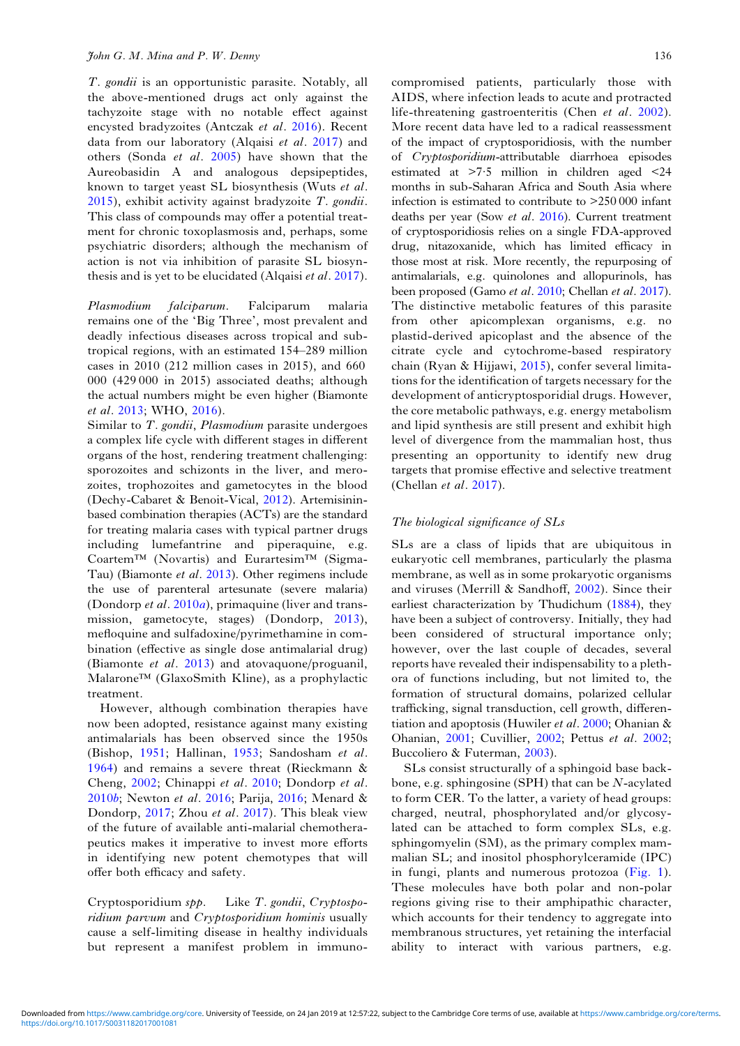T. gondii is an opportunistic parasite. Notably, all the above-mentioned drugs act only against the tachyzoite stage with no notable effect against encysted bradyzoites (Antczak et al. [2016](#page-9-0)). Recent data from our laboratory (Alqaisi et al. [2017](#page-9-0)) and others (Sonda et al. [2005](#page-12-0)) have shown that the Aureobasidin A and analogous depsipeptides, known to target yeast SL biosynthesis (Wuts et al. [2015](#page-13-0)), exhibit activity against bradyzoite T. gondii. This class of compounds may offer a potential treatment for chronic toxoplasmosis and, perhaps, some psychiatric disorders; although the mechanism of action is not via inhibition of parasite SL biosynthesis and is yet to be elucidated (Alqaisi et al. [2017\)](#page-9-0).

Plasmodium falciparum. Falciparum malaria remains one of the 'Big Three', most prevalent and deadly infectious diseases across tropical and subtropical regions, with an estimated 154–289 million cases in 2010 (212 million cases in 2015), and 660 000 (429 000 in 2015) associated deaths; although the actual numbers might be even higher (Biamonte et al. [2013;](#page-9-0) WHO, [2016](#page-13-0)).

Similar to T. gondii, Plasmodium parasite undergoes a complex life cycle with different stages in different organs of the host, rendering treatment challenging: sporozoites and schizonts in the liver, and merozoites, trophozoites and gametocytes in the blood (Dechy-Cabaret & Benoit-Vical, [2012\)](#page-10-0). Artemisininbased combination therapies (ACTs) are the standard for treating malaria cases with typical partner drugs including lumefantrine and piperaquine, e.g. Coartem™ (Novartis) and Eurartesim™ (Sigma-Tau) (Biamonte et al. [2013](#page-9-0)). Other regimens include the use of parenteral artesunate (severe malaria) (Dondorp et al. [2010](#page-10-0)a), primaquine (liver and transmission, gametocyte, stages) (Dondorp, [2013\)](#page-10-0), mefloquine and sulfadoxine/pyrimethamine in combination (effective as single dose antimalarial drug) (Biamonte et al. [2013](#page-9-0)) and atovaquone/proguanil, Malarone™ (GlaxoSmith Kline), as a prophylactic treatment.

However, although combination therapies have now been adopted, resistance against many existing antimalarials has been observed since the 1950s (Bishop, [1951](#page-9-0); Hallinan, [1953](#page-10-0); Sandosham et al. [1964](#page-12-0)) and remains a severe threat (Rieckmann & Cheng, [2002](#page-12-0); Chinappi et al. [2010;](#page-10-0) Dondorp et al. [2010](#page-10-0)b; Newton et al. [2016](#page-11-0); Parija, [2016](#page-12-0); Menard & Dondorp, [2017;](#page-11-0) Zhou et al. [2017](#page-13-0)). This bleak view of the future of available anti-malarial chemotherapeutics makes it imperative to invest more efforts in identifying new potent chemotypes that will offer both efficacy and safety.

Cryptosporidium spp. Like T. gondii, Cryptosporidium parvum and Cryptosporidium hominis usually cause a self-limiting disease in healthy individuals but represent a manifest problem in immuno-

compromised patients, particularly those with AIDS, where infection leads to acute and protracted life-threatening gastroenteritis (Chen et al. [2002](#page-10-0)). More recent data have led to a radical reassessment of the impact of cryptosporidiosis, with the number of Cryptosporidium-attributable diarrhoea episodes estimated at >7·5 million in children aged <24 months in sub-Saharan Africa and South Asia where infection is estimated to contribute to >250 000 infant deaths per year (Sow et al. [2016\)](#page-12-0). Current treatment of cryptosporidiosis relies on a single FDA-approved drug, nitazoxanide, which has limited efficacy in those most at risk. More recently, the repurposing of antimalarials, e.g. quinolones and allopurinols, has been proposed (Gamo et al. [2010](#page-10-0); Chellan et al. [2017](#page-9-0)). The distinctive metabolic features of this parasite from other apicomplexan organisms, e.g. no plastid-derived apicoplast and the absence of the citrate cycle and cytochrome-based respiratory chain (Ryan & Hijjawi, [2015\)](#page-12-0), confer several limitations for the identification of targets necessary for the development of anticryptosporidial drugs. However, the core metabolic pathways, e.g. energy metabolism and lipid synthesis are still present and exhibit high level of divergence from the mammalian host, thus presenting an opportunity to identify new drug targets that promise effective and selective treatment (Chellan et al. [2017](#page-9-0)).

## The biological significance of SLs

SLs are a class of lipids that are ubiquitous in eukaryotic cell membranes, particularly the plasma membrane, as well as in some prokaryotic organisms and viruses (Merrill & Sandhoff, [2002](#page-11-0)). Since their earliest characterization by Thudichum ([1884](#page-13-0)), they have been a subject of controversy. Initially, they had been considered of structural importance only; however, over the last couple of decades, several reports have revealed their indispensability to a plethora of functions including, but not limited to, the formation of structural domains, polarized cellular trafficking, signal transduction, cell growth, differentiation and apoptosis (Huwiler et al. [2000](#page-11-0); Ohanian & Ohanian, [2001;](#page-11-0) Cuvillier, [2002;](#page-10-0) Pettus et al. [2002;](#page-12-0) Buccoliero & Futerman, [2003](#page-9-0)).

SLs consist structurally of a sphingoid base backbone, e.g. sphingosine (SPH) that can be N-acylated to form CER. To the latter, a variety of head groups: charged, neutral, phosphorylated and/or glycosylated can be attached to form complex SLs, e.g. sphingomyelin (SM), as the primary complex mammalian SL; and inositol phosphorylceramide (IPC) in fungi, plants and numerous protozoa [\(Fig. 1](#page-3-0)). These molecules have both polar and non-polar regions giving rise to their amphipathic character, which accounts for their tendency to aggregate into membranous structures, yet retaining the interfacial ability to interact with various partners, e.g.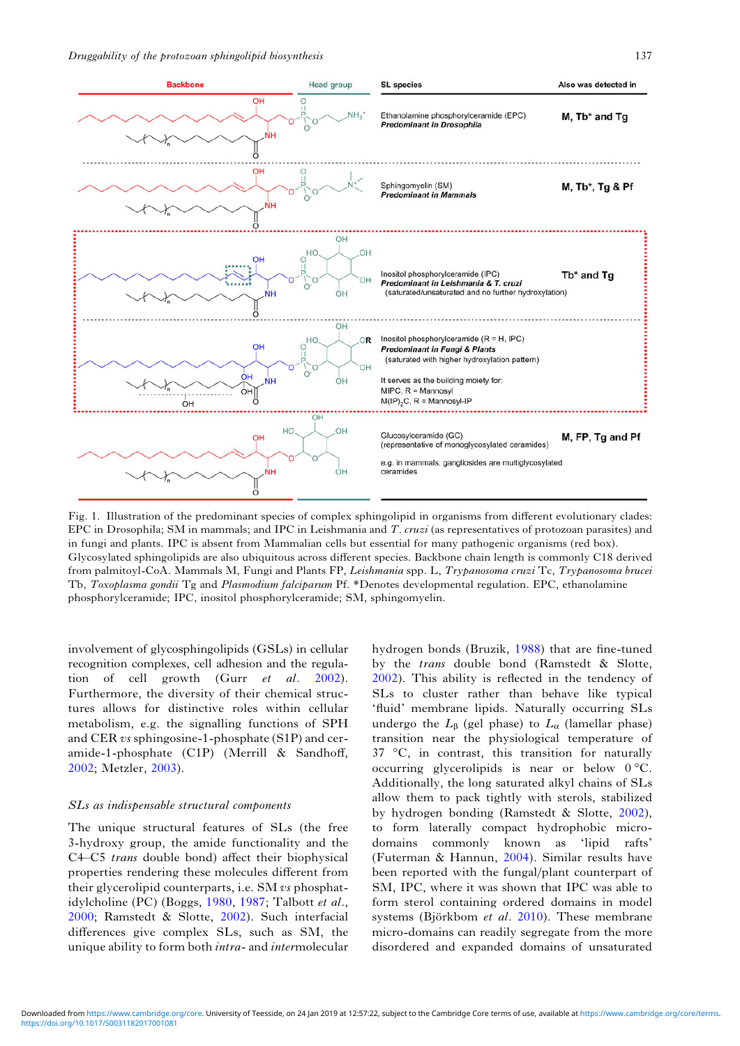<span id="page-3-0"></span>

Fig. 1. Illustration of the predominant species of complex sphingolipid in organisms from different evolutionary clades: EPC in Drosophila; SM in mammals; and IPC in Leishmania and T. cruzi (as representatives of protozoan parasites) and in fungi and plants. IPC is absent from Mammalian cells but essential for many pathogenic organisms (red box). Glycosylated sphingolipids are also ubiquitous across different species. Backbone chain length is commonly C18 derived from palmitoyl-CoA. Mammals M, Fungi and Plants FP, Leishmania spp. L, Trypanosoma cruzi Tc, Trypanosoma brucei Tb, Toxoplasma gondii Tg and Plasmodium falciparum Pf. \*Denotes developmental regulation. EPC, ethanolamine phosphorylceramide; IPC, inositol phosphorylceramide; SM, sphingomyelin.

involvement of glycosphingolipids (GSLs) in cellular recognition complexes, cell adhesion and the regulation of cell growth (Gurr *et al.* [2002\)](#page-10-0). Furthermore, the diversity of their chemical structures allows for distinctive roles within cellular metabolism, e.g. the signalling functions of SPH and CER vs sphingosine-1-phosphate (S1P) and ceramide-1-phosphate (C1P) (Merrill & Sandhoff, [2002;](#page-11-0) Metzler, [2003](#page-11-0)).

#### SLs as indispensable structural components

The unique structural features of SLs (the free 3-hydroxy group, the amide functionality and the C4–C5 trans double bond) affect their biophysical properties rendering these molecules different from their glycerolipid counterparts, i.e. SM vs phosphatidylcholine (PC) (Boggs, [1980,](#page-9-0) [1987;](#page-9-0) Talbott et al., [2000;](#page-13-0) Ramstedt & Slotte, [2002](#page-12-0)). Such interfacial differences give complex SLs, such as SM, the unique ability to form both intra- and intermolecular

hydrogen bonds (Bruzik, [1988\)](#page-9-0) that are fine-tuned by the trans double bond (Ramstedt & Slotte, [2002](#page-12-0)). This ability is reflected in the tendency of SLs to cluster rather than behave like typical 'fluid' membrane lipids. Naturally occurring SLs undergo the  $L_{\beta}$  (gel phase) to  $L_{\alpha}$  (lamellar phase) transition near the physiological temperature of 37 °C, in contrast, this transition for naturally occurring glycerolipids is near or below 0 °C. Additionally, the long saturated alkyl chains of SLs allow them to pack tightly with sterols, stabilized by hydrogen bonding (Ramstedt & Slotte, [2002\)](#page-12-0), to form laterally compact hydrophobic microdomains commonly known as 'lipid rafts' (Futerman & Hannun, [2004\)](#page-10-0). Similar results have been reported with the fungal/plant counterpart of SM, IPC, where it was shown that IPC was able to form sterol containing ordered domains in model systems (Björkbom et al. [2010](#page-9-0)). These membrane micro-domains can readily segregate from the more disordered and expanded domains of unsaturated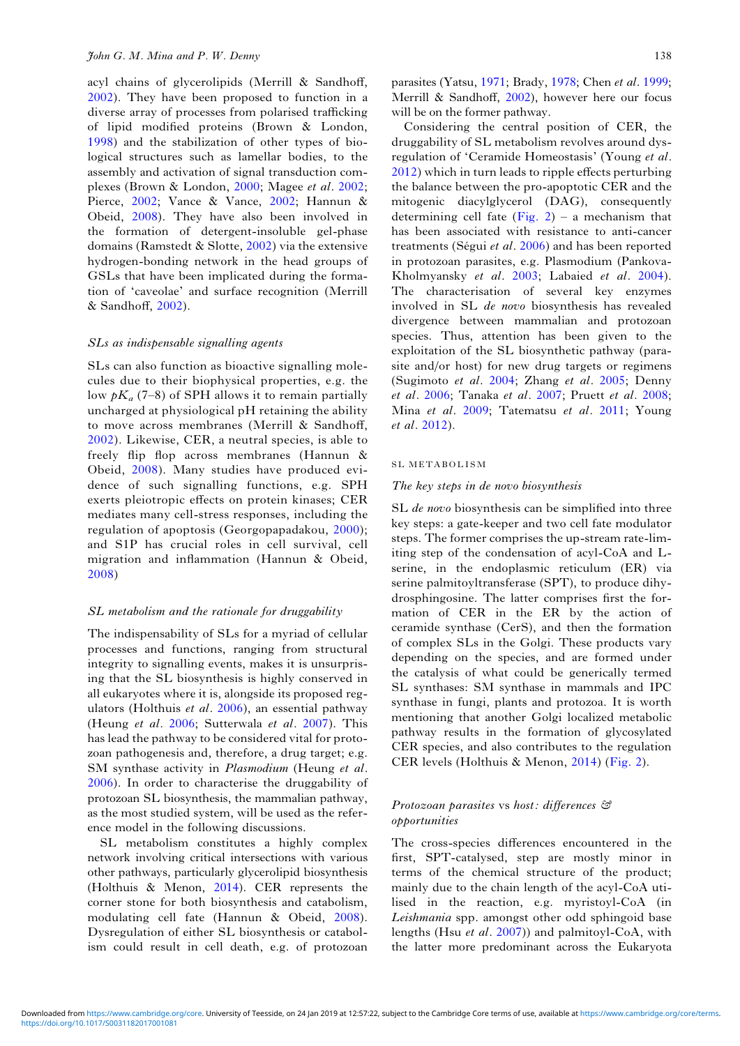acyl chains of glycerolipids (Merrill & Sandhoff, [2002](#page-13-0)). They have been proposed to function in a diverse array of processes from polarised trafficking of lipid modified proteins (Brown & London, [1998](#page-9-0)) and the stabilization of other types of biological structures such as lamellar bodies, to the assembly and activation of signal transduction complexes (Brown & London, [2000](#page-9-0); Magee et al. [2002;](#page-11-0) Pierce, [2002;](#page-12-0) Vance & Vance, [2002;](#page-13-0) Hannun & Obeid, [2008\)](#page-10-0). They have also been involved in the formation of detergent-insoluble gel-phase domains (Ramstedt & Slotte, [2002\)](#page-12-0) via the extensive hydrogen-bonding network in the head groups of GSLs that have been implicated during the formation of 'caveolae' and surface recognition (Merrill & Sandhoff, [2002](#page-13-0)).

#### SLs as indispensable signalling agents

SLs can also function as bioactive signalling molecules due to their biophysical properties, e.g. the low  $pK_a$  (7–8) of SPH allows it to remain partially uncharged at physiological pH retaining the ability to move across membranes (Merrill & Sandhoff, [2002\)](#page-13-0). Likewise, CER, a neutral species, is able to freely flip flop across membranes (Hannun & Obeid, [2008](#page-10-0)). Many studies have produced evidence of such signalling functions, e.g. SPH exerts pleiotropic effects on protein kinases; CER mediates many cell-stress responses, including the regulation of apoptosis (Georgopapadakou, [2000](#page-10-0)); and S1P has crucial roles in cell survival, cell migration and inflammation (Hannun & Obeid, [2008\)](#page-10-0)

## SL metabolism and the rationale for druggability

The indispensability of SLs for a myriad of cellular processes and functions, ranging from structural integrity to signalling events, makes it is unsurprising that the SL biosynthesis is highly conserved in all eukaryotes where it is, alongside its proposed regulators (Holthuis et al. [2006\)](#page-11-0), an essential pathway (Heung et al. [2006;](#page-10-0) Sutterwala et al. [2007](#page-13-0)). This has lead the pathway to be considered vital for protozoan pathogenesis and, therefore, a drug target; e.g. SM synthase activity in *Plasmodium* (Heung et al. [2006](#page-10-0)). In order to characterise the druggability of protozoan SL biosynthesis, the mammalian pathway, as the most studied system, will be used as the reference model in the following discussions.

SL metabolism constitutes a highly complex network involving critical intersections with various other pathways, particularly glycerolipid biosynthesis (Holthuis & Menon, [2014](#page-11-0)). CER represents the corner stone for both biosynthesis and catabolism, modulating cell fate (Hannun & Obeid, [2008\)](#page-10-0). Dysregulation of either SL biosynthesis or catabolism could result in cell death, e.g. of protozoan

parasites (Yatsu, [1971;](#page-13-0) Brady, [1978;](#page-9-0) Chen et al. [1999;](#page-9-0) Merrill & Sandhoff, [2002\)](#page-13-0), however here our focus will be on the former pathway.

Considering the central position of CER, the druggability of SL metabolism revolves around dysregulation of 'Ceramide Homeostasis' (Young et al. [2012\)](#page-13-0) which in turn leads to ripple effects perturbing the balance between the pro-apoptotic CER and the mitogenic diacylglycerol (DAG), consequently determining cell fate ([Fig. 2](#page-5-0)) – a mechanism that has been associated with resistance to anti-cancer treatments (Ségui *et al.* [2006\)](#page-12-0) and has been reported in protozoan parasites, e.g. Plasmodium (Pankova-Kholmyansky et al. [2003;](#page-12-0) Labaied et al. [2004](#page-11-0)). The characterisation of several key enzymes involved in SL de novo biosynthesis has revealed divergence between mammalian and protozoan species. Thus, attention has been given to the exploitation of the SL biosynthetic pathway (parasite and/or host) for new drug targets or regimens (Sugimoto et al. [2004](#page-12-0); Zhang et al. [2005](#page-13-0); Denny et al. [2006](#page-10-0); Tanaka et al. [2007](#page-13-0); Pruett et al. [2008;](#page-12-0) Mina et al. [2009](#page-11-0); Tatematsu et al. [2011](#page-13-0); Young et al. [2012](#page-13-0)).

#### SL METABOLISM

#### The key steps in de novo biosynthesis

SL de novo biosynthesis can be simplified into three key steps: a gate-keeper and two cell fate modulator steps. The former comprises the up-stream rate-limiting step of the condensation of acyl-CoA and Lserine, in the endoplasmic reticulum (ER) via serine palmitoyltransferase (SPT), to produce dihydrosphingosine. The latter comprises first the formation of CER in the ER by the action of ceramide synthase (CerS), and then the formation of complex SLs in the Golgi. These products vary depending on the species, and are formed under the catalysis of what could be generically termed SL synthases: SM synthase in mammals and IPC synthase in fungi, plants and protozoa. It is worth mentioning that another Golgi localized metabolic pathway results in the formation of glycosylated CER species, and also contributes to the regulation CER levels (Holthuis & Menon, [2014](#page-11-0)) [\(Fig. 2\)](#page-5-0).

## Protozoan parasites vs host: differences & opportunities

The cross-species differences encountered in the first, SPT-catalysed, step are mostly minor in terms of the chemical structure of the product; mainly due to the chain length of the acyl-CoA utilised in the reaction, e.g. myristoyl-CoA (in Leishmania spp. amongst other odd sphingoid base lengths (Hsu *et al.*  $2007$ )) and palmitoyl-CoA, with the latter more predominant across the Eukaryota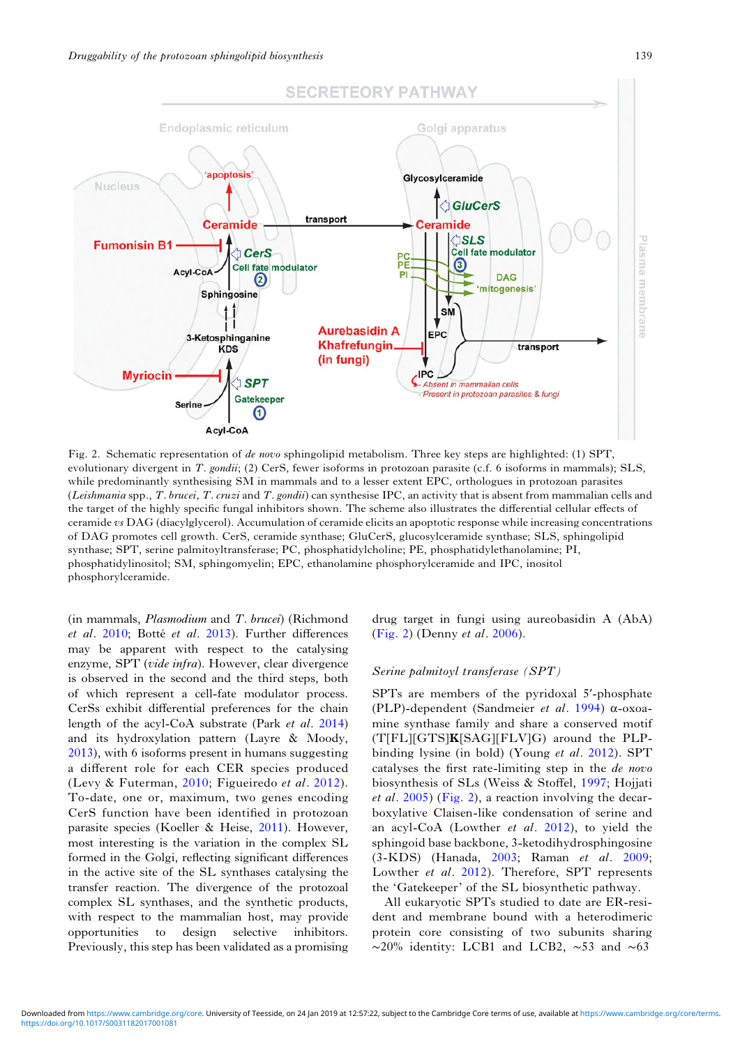<span id="page-5-0"></span>

Fig. 2. Schematic representation of de novo sphingolipid metabolism. Three key steps are highlighted: (1) SPT, evolutionary divergent in T. gondii; (2) CerS, fewer isoforms in protozoan parasite (c.f. 6 isoforms in mammals); SLS, while predominantly synthesising SM in mammals and to a lesser extent EPC, orthologues in protozoan parasites (Leishmania spp., T. brucei, T. cruzi and T. gondii) can synthesise IPC, an activity that is absent from mammalian cells and the target of the highly specific fungal inhibitors shown. The scheme also illustrates the differential cellular effects of ceramide vs DAG (diacylglycerol). Accumulation of ceramide elicits an apoptotic response while increasing concentrations of DAG promotes cell growth. CerS, ceramide synthase; GluCerS, glucosylceramide synthase; SLS, sphingolipid synthase; SPT, serine palmitoyltransferase; PC, phosphatidylcholine; PE, phosphatidylethanolamine; PI, phosphatidylinositol; SM, sphingomyelin; EPC, ethanolamine phosphorylceramide and IPC, inositol phosphorylceramide.

(in mammals, Plasmodium and T. brucei) (Richmond et al. [2010;](#page-12-0) Botté et al. [2013\)](#page-9-0). Further differences may be apparent with respect to the catalysing enzyme, SPT (vide infra). However, clear divergence is observed in the second and the third steps, both of which represent a cell-fate modulator process. CerSs exhibit differential preferences for the chain length of the acyl-CoA substrate (Park et al. [2014\)](#page-12-0) and its hydroxylation pattern (Layre & Moody, [2013](#page-11-0)), with 6 isoforms present in humans suggesting a different role for each CER species produced (Levy & Futerman, [2010;](#page-11-0) Figueiredo et al. [2012\)](#page-10-0). To-date, one or, maximum, two genes encoding CerS function have been identified in protozoan parasite species (Koeller & Heise, [2011](#page-11-0)). However, most interesting is the variation in the complex SL formed in the Golgi, reflecting significant differences in the active site of the SL synthases catalysing the transfer reaction. The divergence of the protozoal complex SL synthases, and the synthetic products, with respect to the mammalian host, may provide opportunities to design selective inhibitors. Previously, this step has been validated as a promising drug target in fungi using aureobasidin A (AbA) (Fig. 2) (Denny et al. [2006\)](#page-10-0).

## Serine palmitoyl transferase (SPT)

SPTs are members of the pyridoxal 5′-phosphate (PLP)-dependent (Sandmeier et al. [1994](#page-12-0)) α-oxoamine synthase family and share a conserved motif (T[FL][GTS]K[SAG][FLV]G) around the PLPbinding lysine (in bold) (Young et al. [2012](#page-13-0)). SPT catalyses the first rate-limiting step in the de novo biosynthesis of SLs (Weiss & Stoffel, [1997](#page-13-0); Hojjati et al. [2005](#page-11-0)) (Fig. 2), a reaction involving the decarboxylative Claisen-like condensation of serine and an acyl-CoA (Lowther et al. [2012\)](#page-11-0), to yield the sphingoid base backbone, 3-ketodihydrosphingosine (3-KDS) (Hanada, [2003](#page-10-0); Raman et al. [2009](#page-12-0); Lowther et al. [2012\)](#page-11-0). Therefore, SPT represents the 'Gatekeeper' of the SL biosynthetic pathway.

All eukaryotic SPTs studied to date are ER-resident and membrane bound with a heterodimeric protein core consisting of two subunits sharing ∼20% identity: LCB1 and LCB2, ∼53 and ∼63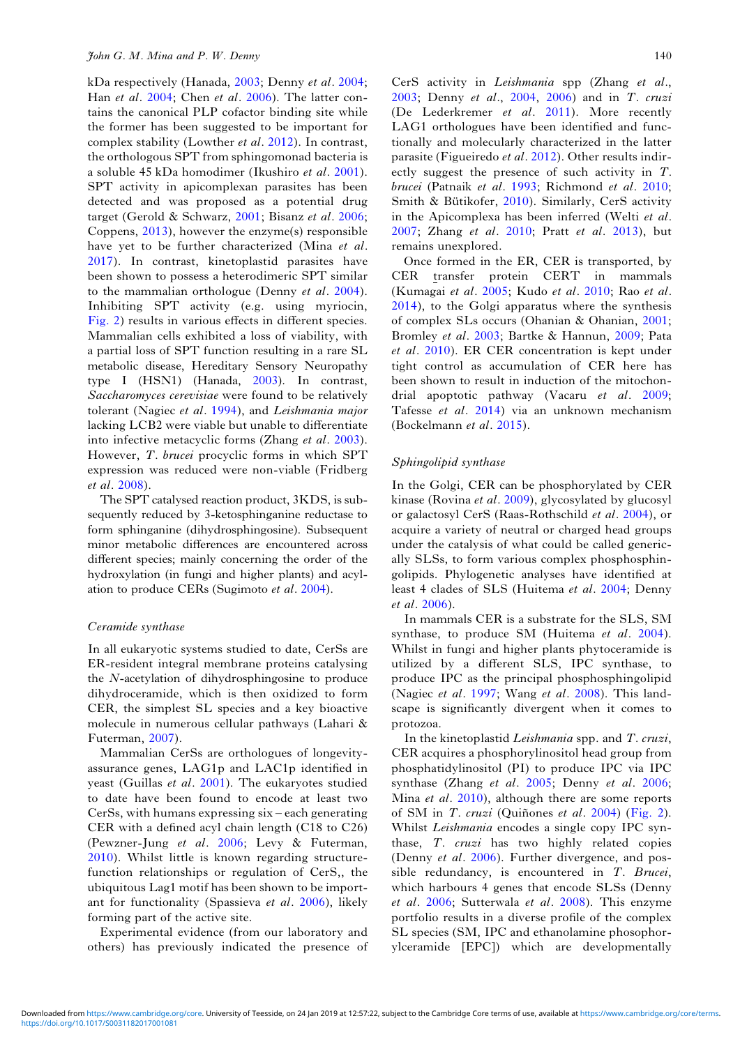kDa respectively (Hanada, [2003](#page-10-0); Denny et al. [2004](#page-10-0); Han et al. [2004](#page-10-0); Chen et al. [2006\)](#page-10-0). The latter contains the canonical PLP cofactor binding site while the former has been suggested to be important for complex stability (Lowther et al. [2012](#page-11-0)). In contrast, the orthologous SPT from sphingomonad bacteria is a soluble 45 kDa homodimer (Ikushiro et al. [2001\)](#page-11-0). SPT activity in apicomplexan parasites has been detected and was proposed as a potential drug target (Gerold & Schwarz, [2001](#page-10-0); Bisanz et al. [2006;](#page-9-0) Coppens, [2013](#page-10-0)), however the enzyme(s) responsible have yet to be further characterized (Mina et al. [2017](#page-11-0)). In contrast, kinetoplastid parasites have been shown to possess a heterodimeric SPT similar to the mammalian orthologue (Denny et al. [2004\)](#page-10-0). Inhibiting SPT activity (e.g. using myriocin, [Fig. 2\)](#page-5-0) results in various effects in different species. Mammalian cells exhibited a loss of viability, with a partial loss of SPT function resulting in a rare SL metabolic disease, Hereditary Sensory Neuropathy type I (HSN1) (Hanada, [2003\)](#page-10-0). In contrast, Saccharomyces cerevisiae were found to be relatively tolerant (Nagiec et al. [1994\)](#page-11-0), and Leishmania major lacking LCB2 were viable but unable to differentiate into infective metacyclic forms (Zhang et al. [2003\)](#page-13-0). However, T. brucei procyclic forms in which SPT expression was reduced were non-viable (Fridberg et al. [2008\)](#page-10-0).

The SPT catalysed reaction product, 3KDS, is subsequently reduced by 3-ketosphinganine reductase to form sphinganine (dihydrosphingosine). Subsequent minor metabolic differences are encountered across different species; mainly concerning the order of the hydroxylation (in fungi and higher plants) and acylation to produce CERs (Sugimoto et al. [2004](#page-12-0)).

#### Ceramide synthase

In all eukaryotic systems studied to date, CerSs are ER-resident integral membrane proteins catalysing the N-acetylation of dihydrosphingosine to produce dihydroceramide, which is then oxidized to form CER, the simplest SL species and a key bioactive molecule in numerous cellular pathways (Lahari & Futerman, [2007](#page-11-0)).

Mammalian CerSs are orthologues of longevityassurance genes, LAG1p and LAC1p identified in yeast (Guillas et al. [2001\)](#page-10-0). The eukaryotes studied to date have been found to encode at least two CerSs, with humans expressing six – each generating CER with a defined acyl chain length (C18 to C26) (Pewzner-Jung et al. [2006;](#page-12-0) Levy & Futerman, [2010](#page-11-0)). Whilst little is known regarding structurefunction relationships or regulation of CerS,, the ubiquitous Lag1 motif has been shown to be important for functionality (Spassieva et al. [2006\)](#page-12-0), likely forming part of the active site.

Experimental evidence (from our laboratory and others) has previously indicated the presence of

CerS activity in Leishmania spp (Zhang et al., [2003;](#page-13-0) Denny et al., [2004](#page-10-0), [2006](#page-10-0)) and in T. cruzi (De Lederkremer et al. [2011\)](#page-10-0). More recently LAG1 orthologues have been identified and functionally and molecularly characterized in the latter parasite (Figueiredo et al. [2012\)](#page-10-0). Other results indirectly suggest the presence of such activity in T. brucei (Patnaik et al. [1993](#page-12-0); Richmond et al. [2010;](#page-12-0) Smith & Bütikofer, [2010\)](#page-12-0). Similarly, CerS activity in the Apicomplexa has been inferred (Welti et al. [2007;](#page-13-0) Zhang et al. [2010](#page-13-0); Pratt et al. [2013\)](#page-12-0), but remains unexplored.

Once formed in the ER, CER is transported, by CER transfer protein CERT in mammals (Kumagai et al. [2005;](#page-11-0) Kudo et al. [2010](#page-11-0); Rao et al. [2014\)](#page-12-0), to the Golgi apparatus where the synthesis of complex SLs occurs (Ohanian & Ohanian, [2001;](#page-11-0) Bromley et al. [2003](#page-9-0); Bartke & Hannun, [2009](#page-9-0); Pata et al. [2010](#page-12-0)). ER CER concentration is kept under tight control as accumulation of CER here has been shown to result in induction of the mitochondrial apoptotic pathway (Vacaru et al. [2009;](#page-13-0) Tafesse et al. [2014\)](#page-13-0) via an unknown mechanism (Bockelmann et al. [2015](#page-9-0)).

## Sphingolipid synthase

In the Golgi, CER can be phosphorylated by CER kinase (Rovina et al. [2009](#page-12-0)), glycosylated by glucosyl or galactosyl CerS (Raas-Rothschild et al. [2004\)](#page-12-0), or acquire a variety of neutral or charged head groups under the catalysis of what could be called generically SLSs, to form various complex phosphosphingolipids. Phylogenetic analyses have identified at least 4 clades of SLS (Huitema et al. [2004](#page-11-0); Denny et al. [2006](#page-10-0)).

In mammals CER is a substrate for the SLS, SM synthase, to produce SM (Huitema et al. [2004](#page-11-0)). Whilst in fungi and higher plants phytoceramide is utilized by a different SLS, IPC synthase, to produce IPC as the principal phosphosphingolipid (Nagiec et al. [1997;](#page-11-0) Wang et al. [2008](#page-13-0)). This landscape is significantly divergent when it comes to protozoa.

In the kinetoplastid Leishmania spp. and T. cruzi, CER acquires a phosphorylinositol head group from phosphatidylinositol (PI) to produce IPC via IPC synthase (Zhang et al. [2005](#page-13-0); Denny et al. [2006;](#page-10-0) Mina *et al.* [2010\)](#page-11-0), although there are some reports of SM in T. cruzi (Quiñones et al. [2004](#page-12-0)) [\(Fig. 2](#page-5-0)). Whilst *Leishmania* encodes a single copy IPC synthase, T. cruzi has two highly related copies (Denny et al. [2006\)](#page-10-0). Further divergence, and possible redundancy, is encountered in T. Brucei, which harbours 4 genes that encode SLSs (Denny et al. [2006;](#page-10-0) Sutterwala et al. [2008](#page-13-0)). This enzyme portfolio results in a diverse profile of the complex SL species (SM, IPC and ethanolamine phosophorylceramide [EPC]) which are developmentally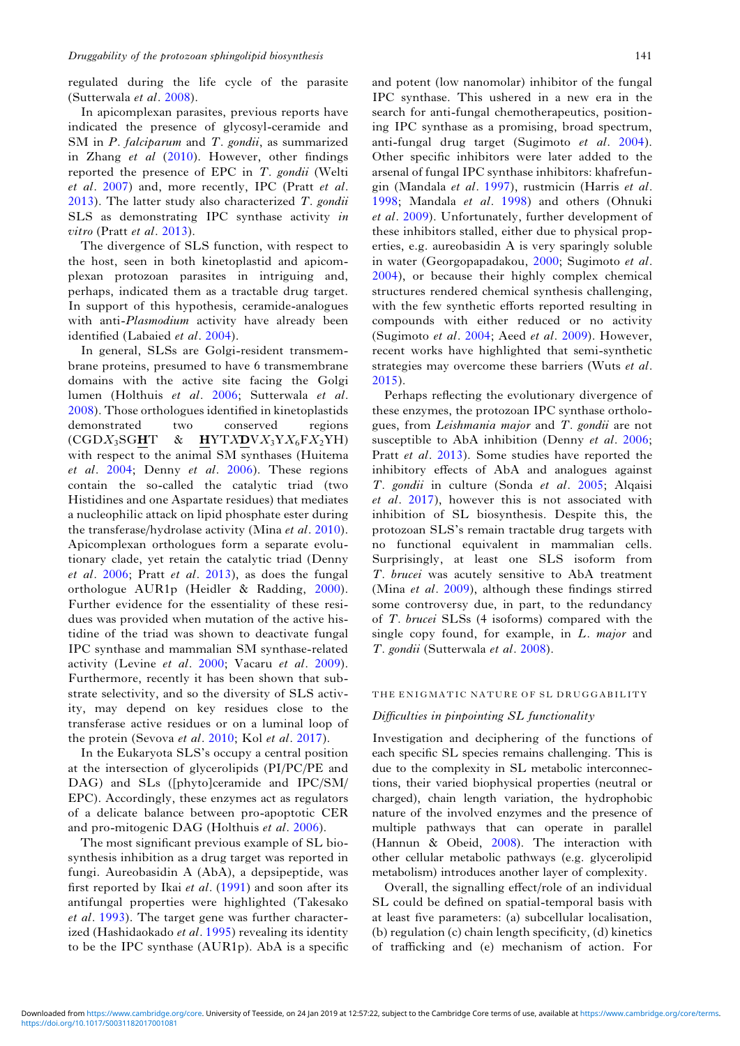regulated during the life cycle of the parasite (Sutterwala et al. [2008](#page-13-0)).

In apicomplexan parasites, previous reports have indicated the presence of glycosyl-ceramide and SM in P. falciparum and T. gondii, as summarized in Zhang et al ([2010\)](#page-13-0). However, other findings reported the presence of EPC in T. gondii (Welti et al. [2007](#page-13-0)) and, more recently, IPC (Pratt et al.  $2013$ ). The latter study also characterized T. gondii SLS as demonstrating IPC synthase activity in vitro (Pratt *et al.* [2013](#page-12-0)).

The divergence of SLS function, with respect to the host, seen in both kinetoplastid and apicomplexan protozoan parasites in intriguing and, perhaps, indicated them as a tractable drug target. In support of this hypothesis, ceramide-analogues with anti-Plasmodium activity have already been identified (Labaied et al. [2004](#page-11-0)).

In general, SLSs are Golgi-resident transmembrane proteins, presumed to have 6 transmembrane domains with the active site facing the Golgi lumen (Holthuis et al. [2006](#page-11-0); Sutterwala et al. [2008\)](#page-13-0). Those orthologues identified in kinetoplastids demonstrated two conserved regions  $(CGDX<sub>3</sub>SGHT \& HYTXDVX<sub>3</sub>YX<sub>6</sub>FX<sub>2</sub>YH)$ with respect to the animal SM synthases (Huitema et al. [2004](#page-11-0); Denny et al. [2006](#page-10-0)). These regions contain the so-called the catalytic triad (two Histidines and one Aspartate residues) that mediates a nucleophilic attack on lipid phosphate ester during the transferase/hydrolase activity (Mina et al. [2010\)](#page-11-0). Apicomplexan orthologues form a separate evolutionary clade, yet retain the catalytic triad (Denny et al. [2006](#page-10-0); Pratt et al. [2013](#page-12-0)), as does the fungal orthologue AUR1p (Heidler & Radding, [2000\)](#page-10-0). Further evidence for the essentiality of these residues was provided when mutation of the active histidine of the triad was shown to deactivate fungal IPC synthase and mammalian SM synthase-related activity (Levine et al. [2000;](#page-11-0) Vacaru et al. [2009\)](#page-13-0). Furthermore, recently it has been shown that substrate selectivity, and so the diversity of SLS activity, may depend on key residues close to the transferase active residues or on a luminal loop of the protein (Sevova et al. [2010](#page-12-0); Kol et al. [2017](#page-11-0)).

In the Eukaryota SLS's occupy a central position at the intersection of glycerolipids (PI/PC/PE and DAG) and SLs ([phyto]ceramide and IPC/SM/ EPC). Accordingly, these enzymes act as regulators of a delicate balance between pro-apoptotic CER and pro-mitogenic DAG (Holthuis et al. [2006\)](#page-11-0).

The most significant previous example of SL biosynthesis inhibition as a drug target was reported in fungi. Aureobasidin A (AbA), a depsipeptide, was first reported by Ikai et al. [\(1991](#page-11-0)) and soon after its antifungal properties were highlighted (Takesako et al. [1993\)](#page-13-0). The target gene was further character-ized (Hashidaokado et al. [1995](#page-10-0)) revealing its identity to be the IPC synthase (AUR1p). AbA is a specific and potent (low nanomolar) inhibitor of the fungal IPC synthase. This ushered in a new era in the search for anti-fungal chemotherapeutics, positioning IPC synthase as a promising, broad spectrum, anti-fungal drug target (Sugimoto et al. [2004\)](#page-12-0). Other specific inhibitors were later added to the arsenal of fungal IPC synthase inhibitors: khafrefungin (Mandala et al. [1997\)](#page-11-0), rustmicin (Harris et al. [1998](#page-10-0); Mandala et al. [1998](#page-11-0)) and others (Ohnuki et al. [2009](#page-11-0)). Unfortunately, further development of these inhibitors stalled, either due to physical properties, e.g. aureobasidin A is very sparingly soluble in water (Georgopapadakou, [2000;](#page-10-0) Sugimoto et al. [2004](#page-12-0)), or because their highly complex chemical structures rendered chemical synthesis challenging, with the few synthetic efforts reported resulting in compounds with either reduced or no activity (Sugimoto et al. [2004;](#page-12-0) Aeed et al. [2009\)](#page-9-0). However, recent works have highlighted that semi-synthetic strategies may overcome these barriers (Wuts et al. [2015](#page-13-0)).

Perhaps reflecting the evolutionary divergence of these enzymes, the protozoan IPC synthase orthologues, from Leishmania major and T. gondii are not susceptible to AbA inhibition (Denny et al. [2006](#page-10-0); Pratt et al. [2013\)](#page-12-0). Some studies have reported the inhibitory effects of AbA and analogues against T. gondii in culture (Sonda et al. [2005;](#page-12-0) Alqaisi et al. [2017](#page-9-0)), however this is not associated with inhibition of SL biosynthesis. Despite this, the protozoan SLS's remain tractable drug targets with no functional equivalent in mammalian cells. Surprisingly, at least one SLS isoform from T. brucei was acutely sensitive to AbA treatment (Mina et al. [2009\)](#page-11-0), although these findings stirred some controversy due, in part, to the redundancy of T. brucei SLSs (4 isoforms) compared with the single copy found, for example, in L. *major* and T. gondii (Sutterwala et al. [2008](#page-13-0)).

#### THE ENIGMATIC NATURE OF SL DRUGGABILITY

# Difficulties in pinpointing SL functionality

Investigation and deciphering of the functions of each specific SL species remains challenging. This is due to the complexity in SL metabolic interconnections, their varied biophysical properties (neutral or charged), chain length variation, the hydrophobic nature of the involved enzymes and the presence of multiple pathways that can operate in parallel (Hannun & Obeid, [2008\)](#page-10-0). The interaction with other cellular metabolic pathways (e.g. glycerolipid metabolism) introduces another layer of complexity.

Overall, the signalling effect/role of an individual SL could be defined on spatial-temporal basis with at least five parameters: (a) subcellular localisation, (b) regulation (c) chain length specificity, (d) kinetics of trafficking and (e) mechanism of action. For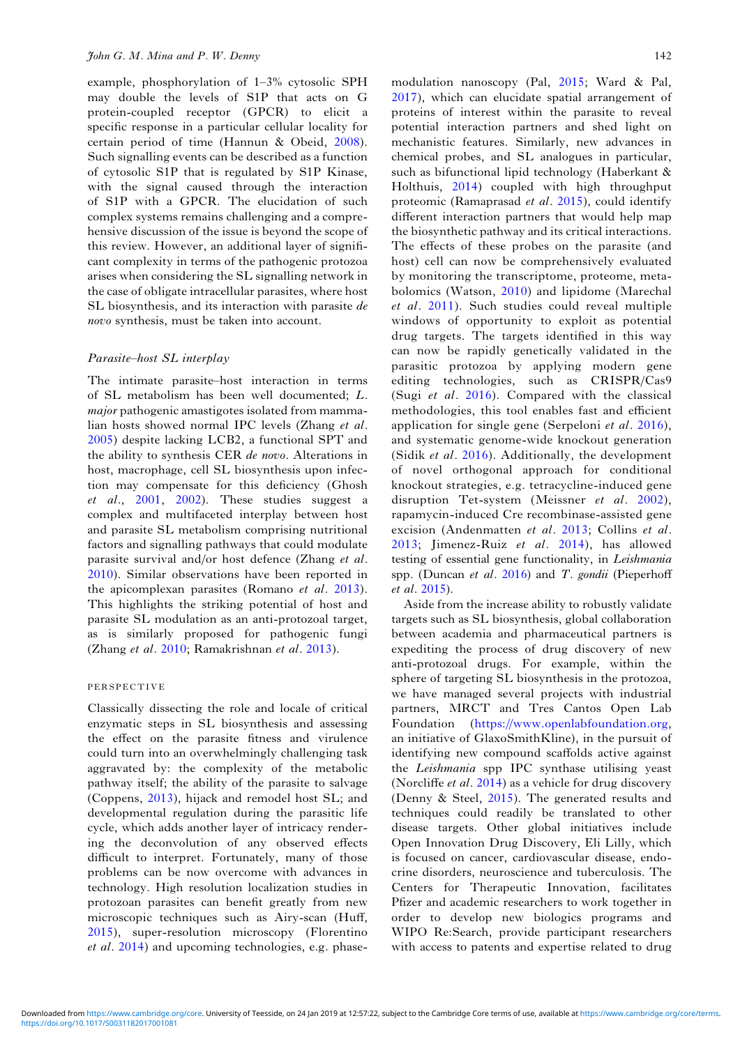example, phosphorylation of 1–3% cytosolic SPH may double the levels of S1P that acts on G protein-coupled receptor (GPCR) to elicit a specific response in a particular cellular locality for certain period of time (Hannun & Obeid, [2008\)](#page-10-0). Such signalling events can be described as a function of cytosolic S1P that is regulated by S1P Kinase, with the signal caused through the interaction of S1P with a GPCR. The elucidation of such complex systems remains challenging and a comprehensive discussion of the issue is beyond the scope of this review. However, an additional layer of significant complexity in terms of the pathogenic protozoa arises when considering the SL signalling network in the case of obligate intracellular parasites, where host SL biosynthesis, and its interaction with parasite de novo synthesis, must be taken into account.

## Parasite–host SL interplay

The intimate parasite–host interaction in terms of SL metabolism has been well documented; L. major pathogenic amastigotes isolated from mammalian hosts showed normal IPC levels (Zhang et al. [2005](#page-13-0)) despite lacking LCB2, a functional SPT and the ability to synthesis CER de novo. Alterations in host, macrophage, cell SL biosynthesis upon infection may compensate for this deficiency (Ghosh et al., [2001,](#page-10-0) [2002\)](#page-10-0). These studies suggest a complex and multifaceted interplay between host and parasite SL metabolism comprising nutritional factors and signalling pathways that could modulate parasite survival and/or host defence (Zhang et al. [2010](#page-13-0)). Similar observations have been reported in the apicomplexan parasites (Romano et al. [2013\)](#page-12-0). This highlights the striking potential of host and parasite SL modulation as an anti-protozoal target, as is similarly proposed for pathogenic fungi (Zhang et al. [2010](#page-13-0); Ramakrishnan et al. [2013](#page-12-0)).

# PERSPECTIVE

Classically dissecting the role and locale of critical enzymatic steps in SL biosynthesis and assessing the effect on the parasite fitness and virulence could turn into an overwhelmingly challenging task aggravated by: the complexity of the metabolic pathway itself; the ability of the parasite to salvage (Coppens, [2013\)](#page-10-0), hijack and remodel host SL; and developmental regulation during the parasitic life cycle, which adds another layer of intricacy rendering the deconvolution of any observed effects difficult to interpret. Fortunately, many of those problems can be now overcome with advances in technology. High resolution localization studies in protozoan parasites can benefit greatly from new microscopic techniques such as Airy-scan (Huff, [2015](#page-11-0)), super-resolution microscopy (Florentino et al. [2014](#page-10-0)) and upcoming technologies, e.g. phase-

modulation nanoscopy (Pal, [2015](#page-11-0); Ward & Pal, [2017\)](#page-13-0), which can elucidate spatial arrangement of proteins of interest within the parasite to reveal potential interaction partners and shed light on mechanistic features. Similarly, new advances in chemical probes, and SL analogues in particular, such as bifunctional lipid technology (Haberkant & Holthuis, [2014\)](#page-10-0) coupled with high throughput proteomic (Ramaprasad *et al.* [2015](#page-12-0)), could identify different interaction partners that would help map the biosynthetic pathway and its critical interactions. The effects of these probes on the parasite (and host) cell can now be comprehensively evaluated by monitoring the transcriptome, proteome, metabolomics (Watson, [2010](#page-13-0)) and lipidome (Marechal et al. [2011\)](#page-11-0). Such studies could reveal multiple windows of opportunity to exploit as potential drug targets. The targets identified in this way can now be rapidly genetically validated in the parasitic protozoa by applying modern gene editing technologies, such as CRISPR/Cas9 (Sugi et al. [2016\)](#page-12-0). Compared with the classical methodologies, this tool enables fast and efficient application for single gene (Serpeloni et al. [2016](#page-12-0)), and systematic genome-wide knockout generation (Sidik et al. [2016\)](#page-12-0). Additionally, the development of novel orthogonal approach for conditional knockout strategies, e.g. tetracycline-induced gene disruption Tet-system (Meissner et al. [2002](#page-11-0)), rapamycin-induced Cre recombinase-assisted gene excision (Andenmatten et al. [2013](#page-9-0); Collins et al. [2013](#page-10-0); Jimenez-Ruiz et al. [2014\)](#page-11-0), has allowed testing of essential gene functionality, in Leishmania spp. (Duncan et al. [2016](#page-10-0)) and  $T$ . gondii (Pieperhoff et al. [2015\)](#page-12-0).

Aside from the increase ability to robustly validate targets such as SL biosynthesis, global collaboration between academia and pharmaceutical partners is expediting the process of drug discovery of new anti-protozoal drugs. For example, within the sphere of targeting SL biosynthesis in the protozoa, we have managed several projects with industrial partners, MRCT and Tres Cantos Open Lab Foundation ([https://www.openlabfoundation.org,](https://www.openlabfoundation.org) an initiative of GlaxoSmithKline), in the pursuit of identifying new compound scaffolds active against the Leishmania spp IPC synthase utilising yeast (Norcliffe *et al.* [2014](#page-11-0)) as a vehicle for drug discovery (Denny & Steel, [2015](#page-10-0)). The generated results and techniques could readily be translated to other disease targets. Other global initiatives include Open Innovation Drug Discovery, Eli Lilly, which is focused on cancer, cardiovascular disease, endocrine disorders, neuroscience and tuberculosis. The Centers for Therapeutic Innovation, facilitates Pfizer and academic researchers to work together in order to develop new biologics programs and WIPO Re:Search, provide participant researchers with access to patents and expertise related to drug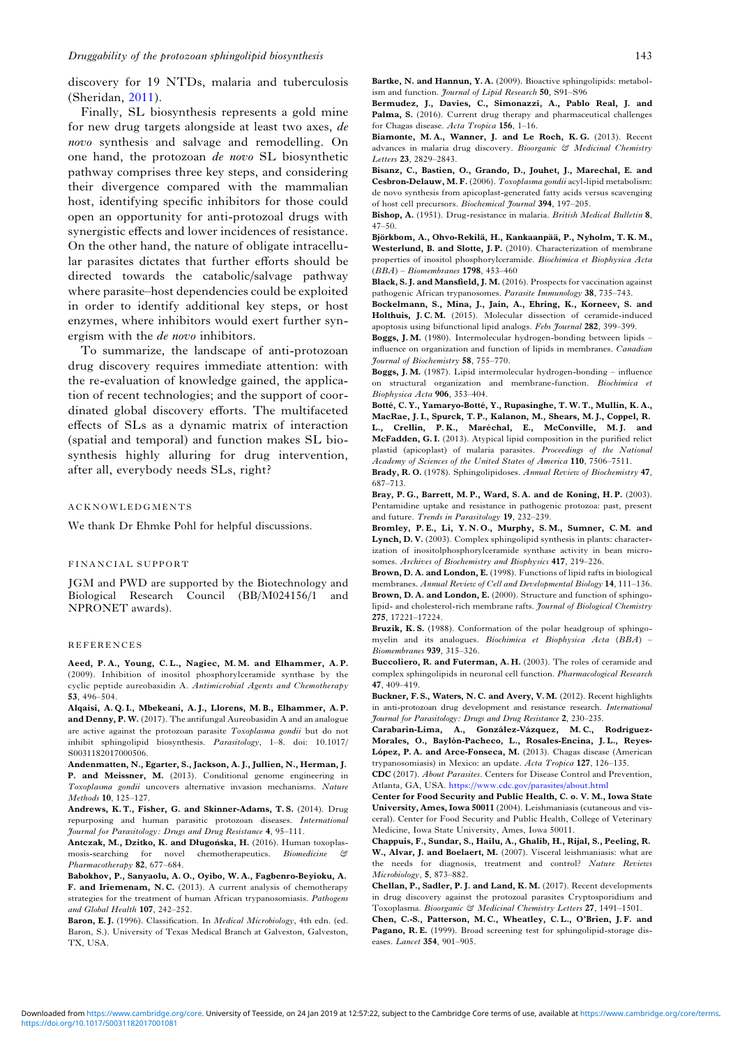<span id="page-9-0"></span>discovery for 19 NTDs, malaria and tuberculosis (Sheridan, [2011](#page-12-0)).

Finally, SL biosynthesis represents a gold mine for new drug targets alongside at least two axes, de novo synthesis and salvage and remodelling. On one hand, the protozoan de novo SL biosynthetic pathway comprises three key steps, and considering their divergence compared with the mammalian host, identifying specific inhibitors for those could open an opportunity for anti-protozoal drugs with synergistic effects and lower incidences of resistance. On the other hand, the nature of obligate intracellular parasites dictates that further efforts should be directed towards the catabolic/salvage pathway where parasite–host dependencies could be exploited in order to identify additional key steps, or host enzymes, where inhibitors would exert further synergism with the de novo inhibitors.

To summarize, the landscape of anti-protozoan drug discovery requires immediate attention: with the re-evaluation of knowledge gained, the application of recent technologies; and the support of coordinated global discovery efforts. The multifaceted effects of SLs as a dynamic matrix of interaction (spatial and temporal) and function makes SL biosynthesis highly alluring for drug intervention, after all, everybody needs SLs, right?

#### ACKNOWLEDGMENTS

We thank Dr Ehmke Pohl for helpful discussions.

#### FINANCIAL SUPPORT

JGM and PWD are supported by the Biotechnology and Biological Research Council (BB/M024156/1 and NPRONET awards).

#### REFERENCES

Aeed, P. A., Young, C. L., Nagiec, M. M. and Elhammer, A. P. (2009). Inhibition of inositol phosphorylceramide synthase by the cyclic peptide aureobasidin A. Antimicrobial Agents and Chemotherapy 53, 496–504.

Alqaisi, A. Q. I., Mbekeani, A. J., Llorens, M. B., Elhammer, A. P. and Denny, P. W. (2017). The antifungal Aureobasidin A and an analogue are active against the protozoan parasite Toxoplasma gondii but do not inhibit sphingolipid biosynthesis. Parasitology, 1–8. doi: 10.1017/ S0031182017000506.

Andenmatten, N., Egarter, S., Jackson, A. J., Jullien, N., Herman, J. P. and Meissner, M. (2013). Conditional genome engineering in Toxoplasma gondii uncovers alternative invasion mechanisms. Nature Methods 10, 125–127.

Andrews, K. T., Fisher, G. and Skinner-Adams, T. S. (2014). Drug repurposing and human parasitic protozoan diseases. International Journal for Parasitology: Drugs and Drug Resistance 4, 95–111.

Antczak, M., Dzitko, K. and Długońska, H. (2016). Human toxoplasmosis-searching for novel chemotherapeutics. Biomedicine & Pharmacotherapy 82, 677–684.

Babokhov, P., Sanyaolu, A. O., Oyibo, W. A., Fagbenro-Beyioku, A. F. and Iriemenam, N. C. (2013). A current analysis of chemotherapy strategies for the treatment of human African trypanosomiasis. Pathogens and Global Health 107, 242–252.

Baron, E.J. (1996). Classification. In *Medical Microbiology*, 4th edn. (ed. Baron, S.). University of Texas Medical Branch at Galveston, Galveston, TX, USA.

Bartke, N. and Hannun, Y. A. (2009). Bioactive sphingolipids: metabolism and function. Journal of Lipid Research 50, S91-S96

Bermudez, J., Davies, C., Simonazzi, A., Pablo Real, J. and Palma, S. (2016). Current drug therapy and pharmaceutical challenges for Chagas disease. Acta Tropica 156, 1–16.

Biamonte, M. A., Wanner, J. and Le Roch, K. G. (2013). Recent advances in malaria drug discovery. Bioorganic & Medicinal Chemistry Letters 23, 2829–2843.

Bisanz, C., Bastien, O., Grando, D., Jouhet, J., Marechal, E. and Cesbron-Delauw, M. F. (2006). Toxoplasma gondii acyl-lipid metabolism: de novo synthesis from apicoplast-generated fatty acids versus scavenging of host cell precursors. Biochemical Journal 394, 197–205.

Bishop, A. (1951). Drug-resistance in malaria. British Medical Bulletin 8, 47–50.

Björkbom, A., Ohvo-Rekilä, H., Kankaanpää, P., Nyholm, T. K. M., Westerlund, B. and Slotte, J. P. (2010). Characterization of membrane properties of inositol phosphorylceramide. Biochimica et Biophysica Acta (BBA) – Biomembranes 1798, 453–460

Black, S. J. and Mansfield, J. M. (2016). Prospects for vaccination against pathogenic African trypanosomes. Parasite Immunology 38, 735–743.

Bockelmann, S., Mina, J., Jain, A., Ehring, K., Korneev, S. and Holthuis, J. C. M. (2015). Molecular dissection of ceramide-induced apoptosis using bifunctional lipid analogs. Febs Journal 282, 399–399.

Boggs, J. M. (1980). Intermolecular hydrogen-bonding between lipids – influence on organization and function of lipids in membranes. Canadian Journal of Biochemistry 58, 755–770.

Boggs, J. M. (1987). Lipid intermolecular hydrogen-bonding – influence structural organization and membrane-function. Biochimica et Biophysica Acta 906, 353–404.

Botté, C. Y., Yamaryo-Botté, Y., Rupasinghe, T. W. T., Mullin, K. A., MacRae, J. I., Spurck, T. P., Kalanon, M., Shears, M. J., Coppel, R. L., Crellin, P.K., Maréchal, E., McConville, M.J. and McFadden, G. I. (2013). Atypical lipid composition in the purified relict plastid (apicoplast) of malaria parasites. Proceedings of the National Academy of Sciences of the United States of America 110, 7506–7511.

Brady, R. O. (1978). Sphingolipidoses. Annual Review of Biochemistry 47, 687–713.

Bray, P. G., Barrett, M. P., Ward, S. A. and de Koning, H. P. (2003). Pentamidine uptake and resistance in pathogenic protozoa: past, present and future. Trends in Parasitology 19, 232–239.

Bromley, P. E., Li, Y. N. O., Murphy, S. M., Sumner, C. M. and Lynch, D. V. (2003). Complex sphingolipid synthesis in plants: characterization of inositolphosphorylceramide synthase activity in bean microsomes. Archives of Biochemistry and Biophysics 417, 219–226.

Brown, D. A. and London, E. (1998). Functions of lipid rafts in biological membranes. Annual Review of Cell and Developmental Biology 14, 111–136. Brown, D. A. and London, E. (2000). Structure and function of sphingolipid- and cholesterol-rich membrane rafts. Journal of Biological Chemistry 275, 17221–17224.

Bruzik, K.S. (1988). Conformation of the polar headgroup of sphingomyelin and its analogues. Biochimica et Biophysica Acta (BBA) – Biomembranes 939, 315–326.

Buccoliero, R. and Futerman, A. H. (2003). The roles of ceramide and complex sphingolipids in neuronal cell function. Pharmacological Research 47, 409–419.

Buckner, F. S., Waters, N. C. and Avery, V.M. (2012). Recent highlights in anti-protozoan drug development and resistance research. International Journal for Parasitology: Drugs and Drug Resistance 2, 230–235.

Carabarin-Lima, A., González-Vázquez, M. C., Rodríguez-Morales, O., Baylón-Pacheco, L., Rosales-Encina, J. L., Reyes-López, P. A. and Arce-Fonseca, M. (2013). Chagas disease (American trypanosomiasis) in Mexico: an update. Acta Tropica 127, 126–135.

CDC (2017). About Parasites. Centers for Disease Control and Prevention, Atlanta, GA, USA. <https://www.cdc.gov/parasites/about.html>

Center for Food Security and Public Health, C. o. V. M., Iowa State University, Ames, Iowa 50011 (2004). Leishmaniasis (cutaneous and visceral). Center for Food Security and Public Health, College of Veterinary Medicine, Iowa State University, Ames, Iowa 50011.

Chappuis, F., Sundar, S., Hailu, A., Ghalib, H., Rijal, S., Peeling, R. W., Alvar, J. and Boelaert, M. (2007). Visceral leishmaniasis: what are the needs for diagnosis, treatment and control? Nature Reviews Microbiology, 5, 873–882.

Chellan, P., Sadler, P. J. and Land, K. M. (2017). Recent developments in drug discovery against the protozoal parasites Cryptosporidium and Toxoplasma. Bioorganic & Medicinal Chemistry Letters 27, 1491–1501.

Chen, C.-S., Patterson, M. C., Wheatley, C. L., O'Brien, J. F. and Pagano, R. E. (1999). Broad screening test for sphingolipid-storage diseases. Lancet 354, 901–905.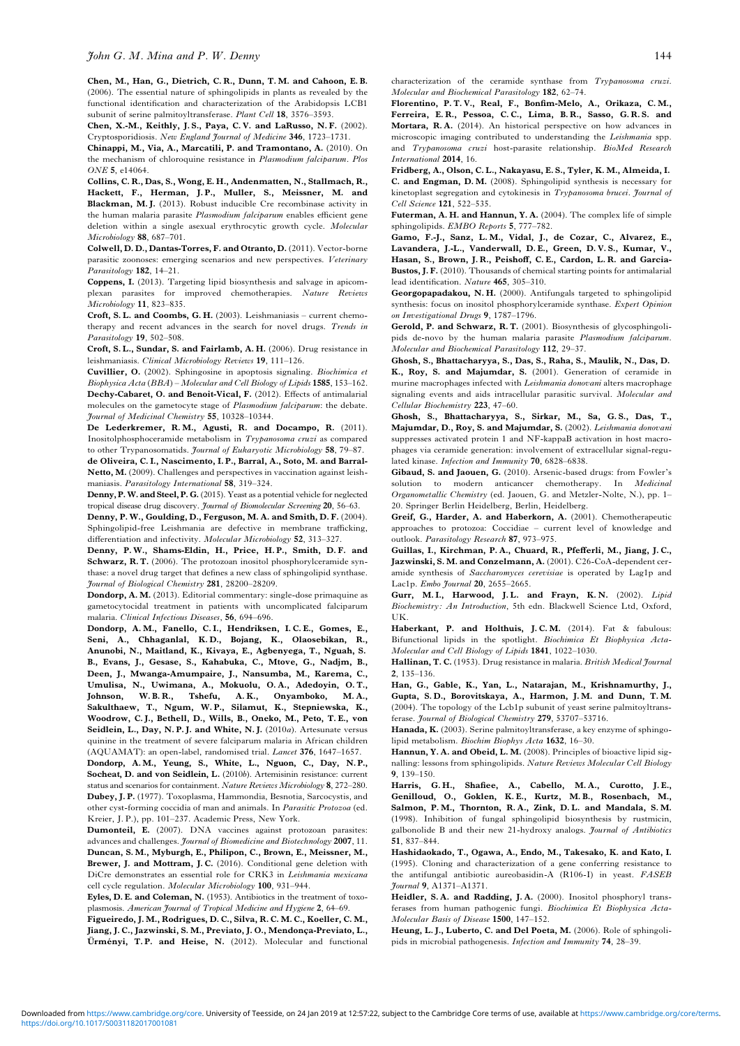<span id="page-10-0"></span>Chen, M., Han, G., Dietrich, C. R., Dunn, T. M. and Cahoon, E. B. (2006). The essential nature of sphingolipids in plants as revealed by the functional identification and characterization of the Arabidopsis LCB1 subunit of serine palmitoyltransferase. Plant Cell 18, 3576–3593.

Chen, X.-M., Keithly, J.S., Paya, C.V. and LaRusso, N.F. (2002). Cryptosporidiosis. New England Journal of Medicine 346, 1723–1731.

Chinappi, M., Via, A., Marcatili, P. and Tramontano, A. (2010). On the mechanism of chloroquine resistance in Plasmodium falciparum. Plos ONE 5, e14064.

Collins, C. R., Das, S., Wong, E. H., Andenmatten, N., Stallmach, R., Hackett, F., Herman, J.P., Muller, S., Meissner, M. and Blackman, M. J. (2013). Robust inducible Cre recombinase activity in the human malaria parasite Plasmodium falciparum enables efficient gene deletion within a single asexual erythrocytic growth cycle. Molecular Microbiology 88, 687–701.

Colwell, D. D., Dantas-Torres, F. and Otranto, D. (2011). Vector-borne parasitic zoonoses: emerging scenarios and new perspectives. Veterinary Parasitology 182, 14-21.

Coppens, I. (2013). Targeting lipid biosynthesis and salvage in apicomplexan parasites for improved chemotherapies. Nature Reviews Microbiology 11, 823-835.

Croft, S. L. and Coombs, G. H. (2003). Leishmaniasis – current chemotherapy and recent advances in the search for novel drugs. Trends in Parasitology 19, 502-508.

Croft, S. L., Sundar, S. and Fairlamb, A. H. (2006). Drug resistance in leishmaniasis. Clinical Microbiology Reviews 19, 111–126.

Cuvillier, O. (2002). Sphingosine in apoptosis signaling. Biochimica et Biophysica Acta (BBA) – Molecular and Cell Biology of Lipids 1585, 153–162. Dechy-Cabaret, O. and Benoit-Vical, F. (2012). Effects of antimalarial molecules on the gametocyte stage of Plasmodium falciparum: the debate. Journal of Medicinal Chemistry 55, 10328–10344.

De Lederkremer, R. M., Agusti, R. and Docampo, R. (2011). Inositolphosphoceramide metabolism in Trypanosoma cruzi as compared to other Trypanosomatids. Journal of Eukaryotic Microbiology 58, 79-87.

de Oliveira, C. I., Nascimento, I. P., Barral, A., Soto, M. and Barral-Netto, M. (2009). Challenges and perspectives in vaccination against leishmaniasis. Parasitology International 58, 319–324.

Denny, P. W. and Steel, P. G. (2015). Yeast as a potential vehicle for neglected tropical disease drug discovery. Journal of Biomolecular Screening 20, 56–63.

Denny, P. W., Goulding, D., Ferguson, M. A. and Smith, D. F. (2004). Sphingolipid-free Leishmania are defective in membrane trafficking, differentiation and infectivity. Molecular Microbiology 52, 313–327.

Denny, P. W., Shams-Eldin, H., Price, H. P., Smith, D. F. and Schwarz, R. T. (2006). The protozoan inositol phosphorylceramide synthase: a novel drug target that defines a new class of sphingolipid synthase. Journal of Biological Chemistry 281, 28200–28209.

Dondorp, A. M. (2013). Editorial commentary: single-dose primaquine as gametocytocidal treatment in patients with uncomplicated falciparum malaria. Clinical Infectious Diseases, 56, 694–696.

Dondorp, A. M., Fanello, C. I., Hendriksen, I. C. E., Gomes, E., Seni, A., Chhaganlal, K. D., Bojang, K., Olaosebikan, R., Anunobi, N., Maitland, K., Kivaya, E., Agbenyega, T., Nguah, S. B., Evans, J., Gesase, S., Kahabuka, C., Mtove, G., Nadjm, B., Deen, J., Mwanga-Amumpaire, J., Nansumba, M., Karema, C., Umulisa, N., Uwimana, A., Mokuolu, O. A., Adedoyin, O. T., Johnson, W. B. R., Tshefu, A. K., Onyamboko, M. A., Sakulthaew, T., Ngum, W. P., Silamut, K., Stepniewska, K., Woodrow, C. J., Bethell, D., Wills, B., Oneko, M., Peto, T. E., von Seidlein, L., Day, N. P. J. and White, N. J. (2010a). Artesunate versus quinine in the treatment of severe falciparum malaria in African children (AQUAMAT): an open-label, randomised trial. Lancet 376, 1647–1657.

Dondorp, A.M., Yeung, S., White, L., Nguon, C., Day, N. P., Socheat, D. and von Seidlein, L. (2010b). Artemisinin resistance: current status and scenarios for containment. Nature Reviews Microbiology 8, 272–280. Dubey, J. P. (1977). Toxoplasma, Hammondia, Besnotia, Sarcocystis, and other cyst-forming coccidia of man and animals. In Parasitic Protozoa (ed. Kreier, J. P.), pp. 101–237. Academic Press, New York.

Dumonteil, E. (2007). DNA vaccines against protozoan parasites: advances and challenges. *Journal of Biomedicine and Biotechnology* 2007, 11. Duncan, S. M., Myburgh, E., Philipon, C., Brown, E., Meissner, M., Brewer, J. and Mottram, J.C. (2016). Conditional gene deletion with DiCre demonstrates an essential role for CRK3 in Leishmania mexicana cell cycle regulation. Molecular Microbiology 100, 931–944.

Eyles, D. E. and Coleman, N. (1953). Antibiotics in the treatment of toxoplasmosis. American Journal of Tropical Medicine and Hygiene 2, 64–69.

Figueiredo, J. M., Rodrigues, D. C., Silva, R. C. M. C., Koeller, C. M., Jiang, J. C., Jazwinski, S. M., Previato, J. O., Mendonça-Previato, L., Ürményi, T. P. and Heise, N. (2012). Molecular and functional characterization of the ceramide synthase from Trypanosoma cruzi. Molecular and Biochemical Parasitology 182, 62–74.

Florentino, P. T. V., Real, F., Bonfim-Melo, A., Orikaza, C. M., Ferreira, E. R., Pessoa, C. C., Lima, B. R., Sasso, G. R. S. and Mortara, R.A. (2014). An historical perspective on how advances in microscopic imaging contributed to understanding the Leishmania spp. and Trypanosoma cruzi host-parasite relationship. BioMed Research International 2014, 16.

Fridberg, A., Olson, C. L., Nakayasu, E. S., Tyler, K. M., Almeida, I. C. and Engman, D. M. (2008). Sphingolipid synthesis is necessary for kinetoplast segregation and cytokinesis in Trypanosoma brucei. Journal of Cell Science 121, 522–535.

Futerman, A. H. and Hannun, Y. A. (2004). The complex life of simple sphingolipids. EMBO Reports 5, 777–782.

Gamo, F.-J., Sanz, L. M., Vidal, J., de Cozar, C., Alvarez, E., Lavandera, J.-L., Vanderwall, D. E., Green, D. V. S., Kumar, V., Hasan, S., Brown, J. R., Peishoff, C. E., Cardon, L. R. and Garcia-Bustos, J. F. (2010). Thousands of chemical starting points for antimalarial lead identification. Nature 465, 305–310.

Georgopapadakou, N. H. (2000). Antifungals targeted to sphingolipid synthesis: focus on inositol phosphorylceramide synthase. Expert Opinion on Investigational Drugs 9, 1787–1796.

Gerold, P. and Schwarz, R. T. (2001). Biosynthesis of glycosphingolipids de-novo by the human malaria parasite Plasmodium falciparum. Molecular and Biochemical Parasitology 112, 29–37.

Ghosh, S., Bhattacharyya, S., Das, S., Raha, S., Maulik, N., Das, D. K., Roy, S. and Majumdar, S. (2001). Generation of ceramide in murine macrophages infected with Leishmania donovani alters macrophage signaling events and aids intracellular parasitic survival. Molecular and Cellular Biochemistry 223, 47–60.

Ghosh, S., Bhattacharyya, S., Sirkar, M., Sa, G. S., Das, T., Majumdar, D., Roy, S. and Majumdar, S. (2002). Leishmania donovani suppresses activated protein 1 and NF-kappaB activation in host macrophages via ceramide generation: involvement of extracellular signal-regulated kinase. Infection and Immunity 70, 6828–6838.

Gibaud, S. and Jaouen, G. (2010). Arsenic-based drugs: from Fowler's solution to modern anticancer chemotherapy. In Medicinal Organometallic Chemistry (ed. Jaouen, G. and Metzler-Nolte, N.), pp. 1– 20. Springer Berlin Heidelberg, Berlin, Heidelberg.

Greif, G., Harder, A. and Haberkorn, A. (2001). Chemotherapeutic approaches to protozoa: Coccidiae – current level of knowledge and outlook. Parasitology Research 87, 973–975.

Guillas, I., Kirchman, P. A., Chuard, R., Pfefferli, M., Jiang, J. C., Jazwinski, S. M. and Conzelmann, A. (2001). C26-CoA-dependent ceramide synthesis of Saccharomyces cerevisiae is operated by Lag1p and Lac1p. Embo Journal 20, 2655-2665.

Gurr, M.I., Harwood, J.L. and Frayn, K.N. (2002). Lipid Biochemistry: An Introduction, 5th edn. Blackwell Science Ltd, Oxford, UK.

Haberkant, P. and Holthuis, J.C.M. (2014). Fat & fabulous: Bifunctional lipids in the spotlight. Biochimica Et Biophysica Acta-Molecular and Cell Biology of Lipids 1841, 1022–1030.

Hallinan, T. C. (1953). Drug resistance in malaria. British Medical Journal 2, 135–136.

Han, G., Gable, K., Yan, L., Natarajan, M., Krishnamurthy, J., Gupta, S. D., Borovitskaya, A., Harmon, J. M. and Dunn, T. M. (2004). The topology of the Lcb1p subunit of yeast serine palmitoyltransferase. Journal of Biological Chemistry 279, 53707-53716.

Hanada, K. (2003). Serine palmitoyltransferase, a key enzyme of sphingolipid metabolism. Biochim Biophys Acta 1632, 16–30.

Hannun, Y. A. and Obeid, L. M. (2008). Principles of bioactive lipid signalling: lessons from sphingolipids. Nature Reviews Molecular Cell Biology 9, 139–150.

Harris, G. H., Shafiee, A., Cabello, M. A., Curotto, J. E., Genilloud, O., Goklen, K. E., Kurtz, M. B., Rosenbach, M., Salmon, P. M., Thornton, R. A., Zink, D. L. and Mandala, S. M. (1998). Inhibition of fungal sphingolipid biosynthesis by rustmicin, galbonolide B and their new 21-hydroxy analogs. Journal of Antibiotics 51, 837–844.

Hashidaokado, T., Ogawa, A., Endo, M., Takesako, K. and Kato, I. (1995). Cloning and characterization of a gene conferring resistance to the antifungal antibiotic aureobasidin-A (R106-I) in yeast. FASEB Journal 9, A1371–A1371.

Heidler, S.A. and Radding, J.A. (2000). Inositol phosphoryl transferases from human pathogenic fungi. Biochimica Et Biophysica Acta-Molecular Basis of Disease 1500, 147–152.

Heung, L. J., Luberto, C. and Del Poeta, M. (2006). Role of sphingolipids in microbial pathogenesis. Infection and Immunity 74, 28–39.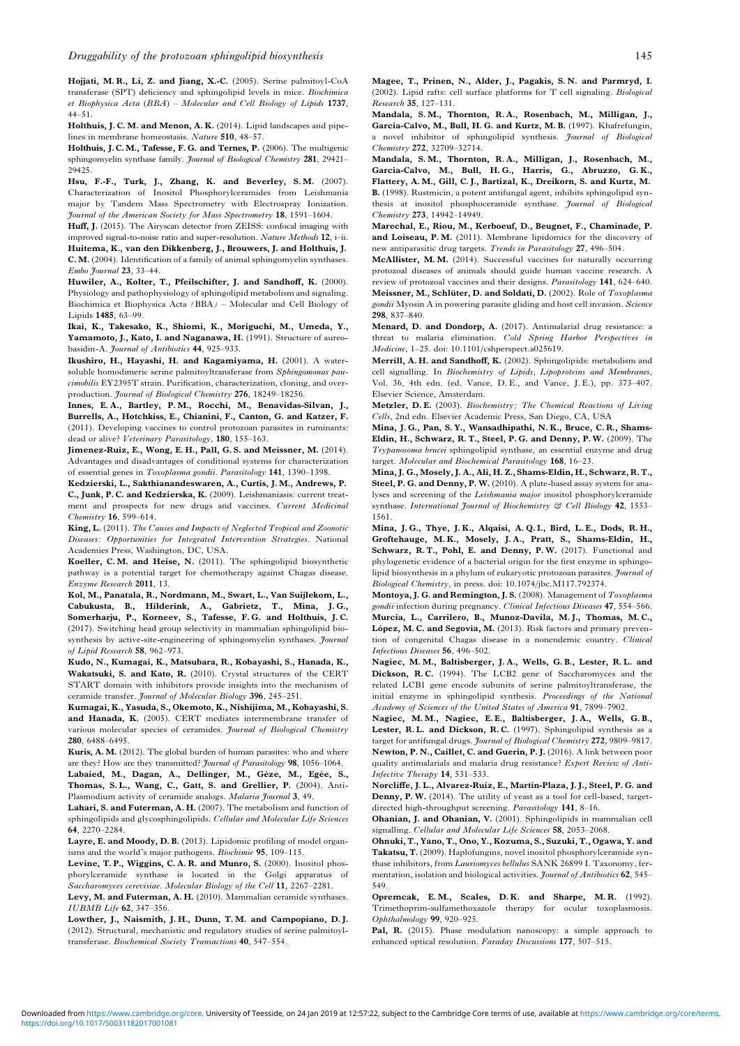<span id="page-11-0"></span>Hojjati, M. R., Li, Z. and Jiang, X.-C. (2005). Serine palmitoyl-CoA transferase (SPT) deficiency and sphingolipid levels in mice. Biochimica et Biophysica Acta (BBA) – Molecular and Cell Biology of Lipids 1737, 44–51.

Holthuis, J. C. M. and Menon, A. K. (2014). Lipid landscapes and pipelines in membrane homeostasis. Nature 510, 48–57.

Holthuis, J. C. M., Tafesse, F. G. and Ternes, P. (2006). The multigenic sphingomyelin synthase family. Journal of Biological Chemistry 281, 29421-29425.

Hsu, F.-F., Turk, J., Zhang, K. and Beverley, S.M. (2007). Characterization of Inositol Phosphorylceramides from Leishmania major by Tandem Mass Spectrometry with Electrospray Ionization. Journal of the American Society for Mass Spectrometry 18, 1591–1604.

Huff, J. (2015). The Airyscan detector from ZEISS: confocal imaging with improved signal-to-noise ratio and super-resolution. Nature Methods 12, i–ii. Huitema, K., van den Dikkenberg, J., Brouwers, J. and Holthuis, J. C. M. (2004). Identification of a family of animal sphingomyelin synthases. Embo Journal 23, 33-44.

Huwiler, A., Kolter, T., Pfeilschifter, J. and Sandhoff, K. (2000). Physiology and pathophysiology of sphingolipid metabolism and signaling. Biochimica et Biophysica Acta (BBA) – Molecular and Cell Biology of Lipids 1485, 63–99.

Ikai, K., Takesako, K., Shiomi, K., Moriguchi, M., Umeda, Y., Yamamoto, J., Kato, I. and Naganawa, H. (1991). Structure of aureobasidin-A. Journal of Antibiotics 44, 925–933.

Ikushiro, H., Hayashi, H. and Kagamiyama, H. (2001). A watersoluble homodimeric serine palmitoyltransferase from Sphingomonas paucimobilis EY2395T strain. Purification, characterization, cloning, and overproduction. Journal of Biological Chemistry 276, 18249–18256.

Innes, E. A., Bartley, P. M., Rocchi, M., Benavidas-Silvan, J., Burrells, A., Hotchkiss, E., Chianini, F., Canton, G. and Katzer, F. (2011). Developing vaccines to control protozoan parasites in ruminants: dead or alive? Veterinary Parasitology, 180, 155-163.

Jimenez-Ruiz, E., Wong, E. H., Pall, G. S. and Meissner, M. (2014). Advantages and disadvantages of conditional systems for characterization of essential genes in Toxoplasma gondii. Parasitology 141, 1390–1398.

Kedzierski, L., Sakthianandeswaren, A., Curtis, J. M., Andrews, P. C., Junk, P. C. and Kedzierska, K. (2009). Leishmaniasis: current treatment and prospects for new drugs and vaccines. Current Medicinal Chemistry 16, 599–614.

King, L. (2011). The Causes and Impacts of Neglected Tropical and Zoonotic Diseases: Opportunities for Integrated Intervention Strategies. National Academies Press, Washington, DC, USA.

Koeller, C. M. and Heise, N. (2011). The sphingolipid biosynthetic pathway is a potential target for chemotherapy against Chagas disease. Enzyme Research 2011, 13.

Kol, M., Panatala, R., Nordmann, M., Swart, L., Van Suijlekom, L., Cabukusta, B., Hilderink, A., Gabrietz, T., Mina, J. G., Somerharju, P., Korneev, S., Tafesse, F. G. and Holthuis, J. C. (2017). Switching head group selectivity in mammalian sphingolipid biosynthesis by active-site-engineering of sphingomyelin synthases. Journal of Lipid Research 58, 962–973.

Kudo, N., Kumagai, K., Matsubara, R., Kobayashi, S., Hanada, K., Wakatsuki, S. and Kato, R. (2010). Crystal structures of the CERT START domain with inhibitors provide insights into the mechanism of ceramide transfer. Journal of Molecular Biology 396, 245–251.

Kumagai, K., Yasuda, S., Okemoto, K., Nishijima, M., Kobayashi, S. and Hanada, K. (2005). CERT mediates intermembrane transfer of various molecular species of ceramides. *Journal of Biological Chemistry* 280, 6488–6495.

Kuris, A. M. (2012). The global burden of human parasites: who and where are they? How are they transmitted? *Journal of Parasitology* 98, 1056-1064. Labaied, M., Dagan, A., Dellinger, M., Gèze, M., Egée, S., Thomas, S. L., Wang, C., Gatt, S. and Grellier, P. (2004). Anti-

Plasmodium activity of ceramide analogs. Malaria Journal 3, 49.

Lahari, S. and Futerman, A. H. (2007). The metabolism and function of sphingolipids and glycosphingolipids. Cellular and Molecular Life Sciences 64, 2270–2284.

Layre, E. and Moody, D. B. (2013). Lipidomic profiling of model organisms and the world's major pathogens. Biochimie 95, 109–115.

Levine, T.P., Wiggins, C.A.R. and Munro, S. (2000). Inositol phosphorylceramide synthase is located in the Golgi apparatus of Saccharomyces cerevisiae. Molecular Biology of the Cell 11, 2267–2281.

Levy, M. and Futerman, A. H. (2010). Mammalian ceramide synthases. IUBMB Life 62, 347–356.

Lowther, J., Naismith, J. H., Dunn, T. M. and Campopiano, D. J. (2012). Structural, mechanistic and regulatory studies of serine palmitoyltransferase. Biochemical Society Transactions 40, 547–554.

Mandala, S. M., Thornton, R. A., Rosenbach, M., Milligan, J., Garcia-Calvo, M., Bull, H. G. and Kurtz, M. B. (1997). Khafrefungin, a novel inhibitor of sphingolipid synthesis. Journal of Biological Chemistry 272, 32709–32714.

Mandala, S. M., Thornton, R. A., Milligan, J., Rosenbach, M., Garcia-Calvo, M., Bull, H. G., Harris, G., Abruzzo, G. K., Flattery, A. M., Gill, C. J., Bartizal, K., Dreikorn, S. and Kurtz, M. B. (1998). Rustmicin, a potent antifungal agent, inhibits sphingolipid synthesis at inositol phosphoceramide synthase. Journal of Biological Chemistry 273, 14942–14949.

Marechal, E., Riou, M., Kerboeuf, D., Beugnet, F., Chaminade, P. and Loiseau, P. M. (2011). Membrane lipidomics for the discovery of new antiparasitic drug targets. Trends in Parasitology 27, 496–504.

McAllister, M. M. (2014). Successful vaccines for naturally occurring protozoal diseases of animals should guide human vaccine research. A review of protozoal vaccines and their designs. Parasitology 141, 624–640. Meissner, M., Schlüter, D. and Soldati, D. (2002). Role of Toxoplasma gondii Myosin A in powering parasite gliding and host cell invasion. Science 298, 837–840.

Menard, D. and Dondorp, A. (2017). Antimalarial drug resistance: a threat to malaria elimination. Cold Spring Harbor Perspectives in Medicine, 1–25. doi: 10.1101/cshperspect.a025619.

Merrill, A. H. and Sandhoff, K. (2002). Sphingolipids: metabolism and cell signalling. In Biochemistry of Lipids, Lipoproteins and Membranes, Vol. 36, 4th edn. (ed. Vance, D. E., and Vance, J. E.), pp. 373–407. Elsevier Science, Amsterdam.

Metzler, D.E. (2003). Biochemistry; The Chemical Reactions of Living Cells, 2nd edn. Elsevier Academic Press, San Diego, CA, USA

Mina, J. G., Pan, S. Y., Wansadhipathi, N. K., Bruce, C. R., Shams-Eldin, H., Schwarz, R. T., Steel, P. G. and Denny, P. W. (2009). The Trypanosoma brucei sphingolipid synthase, an essential enzyme and drug target. Molecular and Biochemical Parasitology 168, 16–23.

Mina, J. G., Mosely, J. A., Ali, H. Z., Shams-Eldin, H., Schwarz, R. T., Steel, P. G. and Denny, P. W. (2010). A plate-based assay system for analyses and screening of the Leishmania major inositol phosphorylceramide synthase. International Journal of Biochemistry & Cell Biology 42, 1553-1561.

Mina, J. G., Thye, J. K., Alqaisi, A. Q. I., Bird, L. E., Dods, R. H., Groftehauge, M. K., Mosely, J. A., Pratt, S., Shams-Eldin, H., Schwarz, R. T., Pohl, E. and Denny, P. W. (2017). Functional and phylogenetic evidence of a bacterial origin for the first enzyme in sphingolipid biosynthesis in a phylum of eukaryotic protozoan parasites. *Journal of* Biological Chemistry, in press. doi: 10.1074/jbc.M117.792374.

Montoya, J. G. and Remington, J. S. (2008). Management of Toxoplasma gondii infection during pregnancy. Clinical Infectious Diseases 47, 554-566. Murcia, L., Carrilero, B., Munoz-Davila, M. J., Thomas, M. C., López, M. C. and Segovia, M. (2013). Risk factors and primary prevention of congenital Chagas disease in a nonendemic country. Clinical Infectious Diseases 56, 496–502.

Nagiec, M. M., Baltisberger, J. A., Wells, G. B., Lester, R. L. and Dickson, R.C. (1994). The LCB2 gene of Saccharomyces and the related LCB1 gene encode subunits of serine palmitoyltransferase, the initial enzyme in sphingolipid synthesis. Proceedings of the National Academy of Sciences of the United States of America 91, 7899–7902.

Nagiec, M. M., Nagiec, E. E., Baltisberger, J. A., Wells, G. B., Lester, R.L. and Dickson, R.C. (1997). Sphingolipid synthesis as a target for antifungal drugs. *Journal of Biological Chemistry* 272, 9809-9817. Newton, P. N., Caillet, C. and Guerin, P. J. (2016). A link between poor quality antimalarials and malaria drug resistance? Expert Review of Anti-Infective Therapy 14, 531–533.

Norcliffe, J. L., Alvarez-Ruiz, E., Martin-Plaza, J. J., Steel, P. G. and Denny, P. W. (2014). The utility of yeast as a tool for cell-based, targetdirected high-throughput screening. Parasitology 141, 8–16.

Ohanian, J. and Ohanian, V. (2001). Sphingolipids in mammalian cell signalling. Cellular and Molecular Life Sciences 58, 2053-2068.

Ohnuki, T., Yano, T., Ono, Y., Kozuma, S., Suzuki, T., Ogawa, Y. and Takatsu, T. (2009). Haplofungins, novel inositol phosphorylceramide synthase inhibitors, from Lauriomyces bellulus SANK 26899 I. Taxonomy, fermentation, isolation and biological activities. Journal of Antibiotics 62, 545– 549.

Opremcak, E. M., Scales, D. K. and Sharpe, M. R. (1992). Trimethoprim-sulfamethoxazole therapy for ocular toxoplasmosis. Ophthalmology 99, 920–925.

Pal, R. (2015). Phase modulation nanoscopy: a simple approach to enhanced optical resolution. Faraday Discussions 177, 507–515.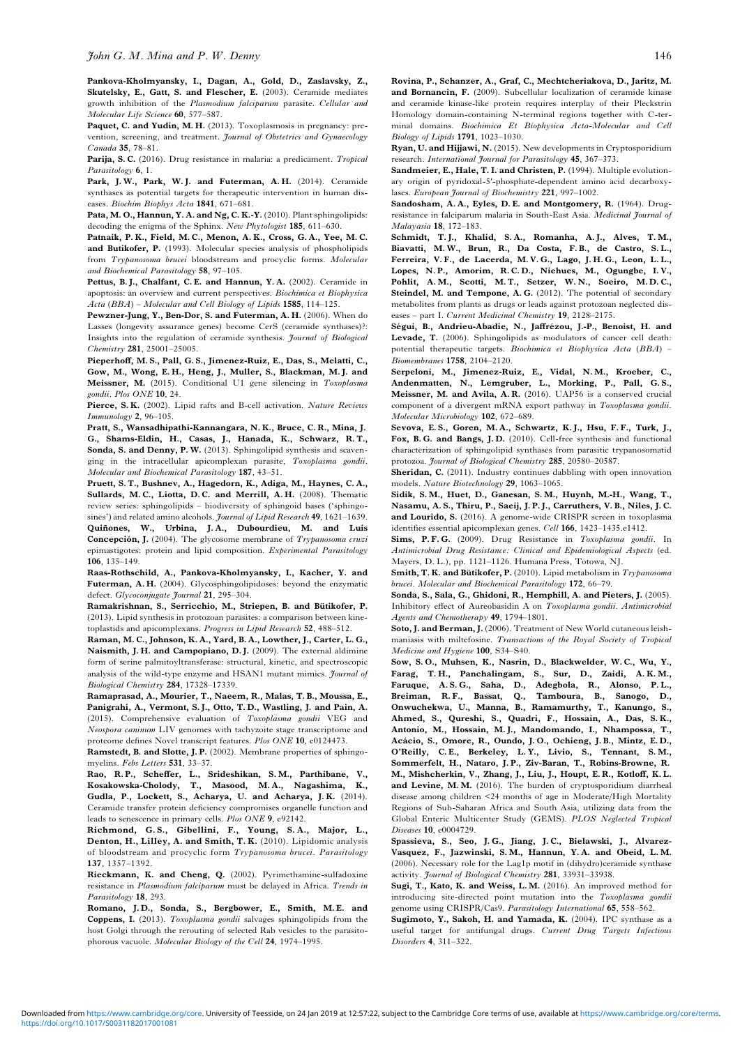<span id="page-12-0"></span>Pankova-Kholmyansky, I., Dagan, A., Gold, D., Zaslavsky, Z., Skutelsky, E., Gatt, S. and Flescher, E. (2003). Ceramide mediates growth inhibition of the Plasmodium falciparum parasite. Cellular and Molecular Life Science 60, 577–587.

Paquet, C. and Yudin, M. H. (2013). Toxoplasmosis in pregnancy: prevention, screening, and treatment. Journal of Obstetrics and Gynaecology Canada 35, 78–81.

Parija, S. C. (2016). Drug resistance in malaria: a predicament. Tropical Parasitology 6, 1.

Park, J.W., Park, W.J. and Futerman, A.H. (2014). Ceramide synthases as potential targets for therapeutic intervention in human diseases. Biochim Biophys Acta 1841, 671–681.

Pata, M. O., Hannun, Y. A. and Ng, C. K.-Y. (2010). Plant sphingolipids: decoding the enigma of the Sphinx. New Phytologist 185, 611–630.

Patnaik, P. K., Field, M. C., Menon, A. K., Cross, G. A., Yee, M. C. and Butikofer, P. (1993). Molecular species analysis of phospholipids from Trypanosoma brucei bloodstream and procyclic forms. Molecular and Biochemical Parasitology 58, 97–105.

Pettus, B. L., Chalfant, C. E. and Hannun, Y. A. (2002). Ceramide in apoptosis: an overview and current perspectives. Biochimica et Biophysica Acta (BBA) – Molecular and Cell Biology of Lipids 1585, 114–125.

Pewzner-Jung, Y., Ben-Dor, S. and Futerman, A. H. (2006). When do Lasses (longevity assurance genes) become CerS (ceramide synthases)?: Insights into the regulation of ceramide synthesis. Journal of Biological Chemistry 281, 25001–25005.

Pieperhoff, M. S., Pall, G. S., Jimenez-Ruiz, E., Das, S., Melatti, C., Gow, M., Wong, E. H., Heng, J., Muller, S., Blackman, M. J. and Meissner, M. (2015). Conditional U1 gene silencing in Toxoplasma gondii. Plos ONE 10, 24.

Pierce, S. K. (2002). Lipid rafts and B-cell activation. Nature Reviews Immunology 2, 96–105.

Pratt, S., Wansadhipathi-Kannangara, N. K., Bruce, C. R., Mina, J. G., Shams-Eldin, H., Casas, J., Hanada, K., Schwarz, R. T., Sonda, S. and Denny, P. W. (2013). Sphingolipid synthesis and scavenging in the intracellular apicomplexan parasite, Toxoplasma gondii. Molecular and Biochemical Parasitology 187, 43–51.

Pruett, S. T., Bushnev, A., Hagedorn, K., Adiga, M., Haynes, C. A., Sullards, M. C., Liotta, D. C. and Merrill, A. H. (2008). Thematic review series: sphingolipids – biodiversity of sphingoid bases ('sphingosines') and related amino alcohols. *Journal of Lipid Research* 49, 1621–1639. Quiñones, W., Urbina, J. A., Dubourdieu, M. and Luis Concepción, J. (2004). The glycosome membrane of Trypanosoma cruzi epimastigotes: protein and lipid composition. Experimental Parasitology 106, 135–149.

Raas-Rothschild, A., Pankova-Kholmyansky, I., Kacher, Y. and Futerman, A. H. (2004). Glycosphingolipidoses: beyond the enzymatic defect. Glycoconjugate Journal 21, 295-304.

Ramakrishnan, S., Serricchio, M., Striepen, B. and Bütikofer, P. (2013). Lipid synthesis in protozoan parasites: a comparison between kinetoplastids and apicomplexans. Progress in Lipid Research 52, 488–512.

Raman, M. C., Johnson, K. A., Yard, B. A., Lowther, J., Carter, L. G., Naismith, J. H. and Campopiano, D. J. (2009). The external aldimine form of serine palmitoyltransferase: structural, kinetic, and spectroscopic analysis of the wild-type enzyme and HSAN1 mutant mimics. Journal of Biological Chemistry 284, 17328–17339.

Ramaprasad, A., Mourier, T., Naeem, R., Malas, T. B., Moussa, E., Panigrahi, A., Vermont, S. J., Otto, T. D., Wastling, J. and Pain, A. (2015). Comprehensive evaluation of Toxoplasma gondii VEG and Neospora caninum LIV genomes with tachyzoite stage transcriptome and proteome defines Novel transcript features. Plos ONE 10, e0124473.

Ramstedt, B. and Slotte, J.P. (2002). Membrane properties of sphingomyelins. Febs Letters 531, 33–37.

Rao, R. P., Scheffer, L., Srideshikan, S. M., Parthibane, V., Kosakowska-Cholody, T., Masood, M. A., Nagashima, K., Gudla, P., Lockett, S., Acharya, U. and Acharya, J. K. (2014). Ceramide transfer protein deficiency compromises organelle function and leads to senescence in primary cells. Plos ONE 9, e92142.

Richmond, G. S., Gibellini, F., Young, S. A., Major, L., Denton, H., Lilley, A. and Smith, T. K. (2010). Lipidomic analysis of bloodstream and procyclic form Trypanosoma brucei. Parasitology 137, 1357–1392.

Rieckmann, K. and Cheng, Q. (2002). Pyrimethamine-sulfadoxine resistance in Plasmodium falciparum must be delayed in Africa. Trends in Parasitology 18, 293.

Romano, J. D., Sonda, S., Bergbower, E., Smith, M. E. and Coppens, I. (2013). Toxoplasma gondii salvages sphingolipids from the host Golgi through the rerouting of selected Rab vesicles to the parasitophorous vacuole. Molecular Biology of the Cell 24, 1974–1995.

Rovina, P., Schanzer, A., Graf, C., Mechtcheriakova, D., Jaritz, M. and Bornancin, F. (2009). Subcellular localization of ceramide kinase and ceramide kinase-like protein requires interplay of their Pleckstrin Homology domain-containing N-terminal regions together with C-terminal domains. Biochimica Et Biophysica Acta-Molecular and Cell Biology of Lipids 1791, 1023–1030.

Ryan, U. and Hijjawi, N. (2015). New developments in Cryptosporidium research. International Journal for Parasitology 45, 367-373.

Sandmeier, E., Hale, T. I. and Christen, P. (1994). Multiple evolutionary origin of pyridoxal-5′-phosphate-dependent amino acid decarboxylases. European Journal of Biochemistry 221, 997-1002.

Sandosham, A. A., Eyles, D. E. and Montgomery, R. (1964). Drugresistance in falciparum malaria in South-East Asia. Medicinal Journal of Malayasia 18, 172–183.

Schmidt, T.J., Khalid, S.A., Romanha, A.J., Alves, T.M., Biavatti, M. W., Brun, R., Da Costa, F. B., de Castro, S. L., Ferreira, V. F., de Lacerda, M. V. G., Lago, J. H. G., Leon, L. L., Lopes, N. P., Amorim, R. C. D., Niehues, M., Ogungbe, I. V., Pohlit, A. M., Scotti, M. T., Setzer, W. N., Soeiro, M. D. C., Steindel, M. and Tempone, A.G. (2012). The potential of secondary metabolites from plants as drugs or leads against protozoan neglected diseases – part I. Current Medicinal Chemistry 19, 2128–2175.

Ségui, B., Andrieu-Abadie, N., Jaffrézou, J.-P., Benoist, H. and Levade, T. (2006). Sphingolipids as modulators of cancer cell death: potential therapeutic targets. Biochimica et Biophysica Acta (BBA) – Biomembranes 1758, 2104–2120.

Serpeloni, M., Jimenez-Ruiz, E., Vidal, N. M., Kroeber, C., Andenmatten, N., Lemgruber, L., Morking, P., Pall, G. S., Meissner, M. and Avila, A. R. (2016). UAP56 is a conserved crucial component of a divergent mRNA export pathway in *Toxoplasma gondii*. Molecular Microbiology 102, 672–689.

Sevova, E. S., Goren, M. A., Schwartz, K. J., Hsu, F. F., Turk, J., Fox, B. G. and Bangs, J. D. (2010). Cell-free synthesis and functional characterization of sphingolipid synthases from parasitic trypanosomatid protozoa. Journal of Biological Chemistry 285, 20580-20587.

Sheridan, C. (2011). Industry continues dabbling with open innovation models. Nature Biotechnology 29, 1063–1065.

Sidik, S. M., Huet, D., Ganesan, S. M., Huynh, M.-H., Wang, T., Nasamu, A. S., Thiru, P., Saeij, J. P. J., Carruthers, V. B., Niles, J. C. and Lourido, S. (2016). A genome-wide CRISPR screen in toxoplasma identifies essential apicomplexan genes. Cell 166, 1423–1435.e1412.

Sims, P.F.G. (2009). Drug Resistance in Toxoplasma gondii. In Antimicrobial Drug Resistance: Clinical and Epidemiological Aspects (ed. Mayers, D. L.), pp. 1121–1126. Humana Press, Totowa, NJ.

Smith, T. K. and Bütikofer, P. (2010). Lipid metabolism in Trypanosoma brucei. Molecular and Biochemical Parasitology 172, 66–79.

Sonda, S., Sala, G., Ghidoni, R., Hemphill, A. and Pieters, J. (2005). Inhibitory effect of Aureobasidin A on Toxoplasma gondii. Antimicrobial Agents and Chemotherapy 49, 1794–1801.

Soto, J. and Berman, J. (2006). Treatment of New World cutaneous leishmaniasis with miltefosine. Transactions of the Royal Society of Tropical Medicine and Hygiene 100, S34–S40.

Sow, S. O., Muhsen, K., Nasrin, D., Blackwelder, W. C., Wu, Y., Farag, T. H., Panchalingam, S., Sur, D., Zaidi, A. K. M., Faruque, A. S. G., Saha, D., Adegbola, R., Alonso, P. L., Breiman, R.F., Bassat, Q., Tamboura, B., Sanogo, D., Onwuchekwa, U., Manna, B., Ramamurthy, T., Kanungo, S., Ahmed, S., Qureshi, S., Quadri, F., Hossain, A., Das, S. K., Antonio, M., Hossain, M. J., Mandomando, I., Nhampossa, T., Acácio, S., Omore, R., Oundo, J. O., Ochieng, J. B., Mintz, E. D., O'Reilly, C. E., Berkeley, L. Y., Livio, S., Tennant, S. M., Sommerfelt, H., Nataro, J. P., Ziv-Baran, T., Robins-Browne, R. M., Mishcherkin, V., Zhang, J., Liu, J., Houpt, E. R., Kotloff, K. L. and Levine, M. M. (2016). The burden of cryptosporidium diarrheal disease among children <24 months of age in Moderate/High Mortality Regions of Sub-Saharan Africa and South Asia, utilizing data from the Global Enteric Multicenter Study (GEMS). PLOS Neglected Tropical Diseases 10, e0004729.

Spassieva, S., Seo, J. G., Jiang, J. C., Bielawski, J., Alvarez-Vasquez, F., Jazwinski, S. M., Hannun, Y. A. and Obeid, L. M. (2006). Necessary role for the Lag1p motif in (dihydro)ceramide synthase activity. Journal of Biological Chemistry 281, 33931–33938.

Sugi, T., Kato, K. and Weiss, L. M. (2016). An improved method for introducing site-directed point mutation into the Toxoplasma gondii genome using CRISPR/Cas9. Parasitology International 65, 558-562.

Sugimoto, Y., Sakoh, H. and Yamada, K. (2004). IPC synthase as a useful target for antifungal drugs. Current Drug Targets Infectious Disorders 4, 311–322.